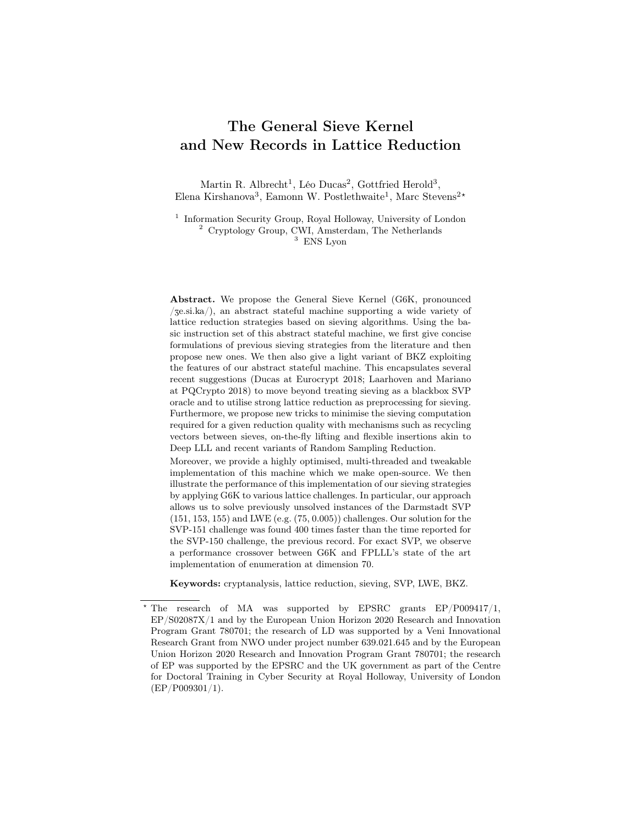# The General Sieve Kernel and New Records in Lattice Reduction

Martin R. Albrecht<sup>1</sup>, Léo Ducas<sup>2</sup>, Gottfried Herold<sup>3</sup>, Elena Kirshanova<sup>3</sup>, Eamonn W. Postlethwaite<sup>1</sup>, Marc Stevens<sup>2\*</sup>

<sup>1</sup> Information Security Group, Royal Holloway, University of London <sup>2</sup> Cryptology Group, CWI, Amsterdam, The Netherlands  $^3\,$  ENS Lyon

Abstract. We propose the General Sieve Kernel (G6K, pronounced  $\sqrt{z}$ e.si.ka $\sqrt{z}$ , an abstract stateful machine supporting a wide variety of lattice reduction strategies based on sieving algorithms. Using the basic instruction set of this abstract stateful machine, we first give concise formulations of previous sieving strategies from the literature and then propose new ones. We then also give a light variant of BKZ exploiting the features of our abstract stateful machine. This encapsulates several recent suggestions (Ducas at Eurocrypt 2018; Laarhoven and Mariano at PQCrypto 2018) to move beyond treating sieving as a blackbox SVP oracle and to utilise strong lattice reduction as preprocessing for sieving. Furthermore, we propose new tricks to minimise the sieving computation required for a given reduction quality with mechanisms such as recycling vectors between sieves, on-the-fly lifting and flexible insertions akin to Deep LLL and recent variants of Random Sampling Reduction.

Moreover, we provide a highly optimised, multi-threaded and tweakable implementation of this machine which we make open-source. We then illustrate the performance of this implementation of our sieving strategies by applying G6K to various lattice challenges. In particular, our approach allows us to solve previously unsolved instances of the Darmstadt SVP (151, 153, 155) and LWE (e.g. (75, 0.005)) challenges. Our solution for the SVP-151 challenge was found 400 times faster than the time reported for the SVP-150 challenge, the previous record. For exact SVP, we observe a performance crossover between G6K and FPLLL's state of the art implementation of enumeration at dimension 70.

Keywords: cryptanalysis, lattice reduction, sieving, SVP, LWE, BKZ.

<sup>?</sup> The research of MA was supported by EPSRC grants EP/P009417/1, EP/S02087X/1 and by the European Union Horizon 2020 Research and Innovation Program Grant 780701; the research of LD was supported by a Veni Innovational Research Grant from NWO under project number 639.021.645 and by the European Union Horizon 2020 Research and Innovation Program Grant 780701; the research of EP was supported by the EPSRC and the UK government as part of the Centre for Doctoral Training in Cyber Security at Royal Holloway, University of London (EP/P009301/1).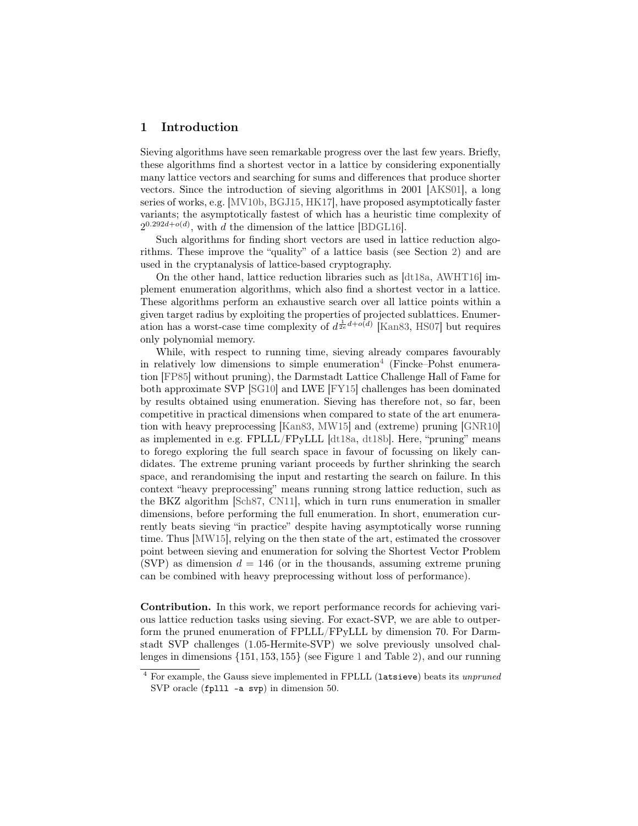# 1 Introduction

Sieving algorithms have seen remarkable progress over the last few years. Briefly, these algorithms find a shortest vector in a lattice by considering exponentially many lattice vectors and searching for sums and differences that produce shorter vectors. Since the introduction of sieving algorithms in 2001 [\[AKS01\]](#page-28-0), a long series of works, e.g. [\[MV10b,](#page-30-0) [BGJ15,](#page-28-1) [HK17\]](#page-29-0), have proposed asymptotically faster variants; the asymptotically fastest of which has a heuristic time complexity of  $2^{0.292d + o(d)}$ , with d the dimension of the lattice [\[BDGL16\]](#page-28-2).

Such algorithms for finding short vectors are used in lattice reduction algorithms. These improve the "quality" of a lattice basis (see Section [2\)](#page-5-0) and are used in the cryptanalysis of lattice-based cryptography.

On the other hand, lattice reduction libraries such as [\[dt18a,](#page-28-3) [AWHT16\]](#page-28-4) implement enumeration algorithms, which also find a shortest vector in a lattice. These algorithms perform an exhaustive search over all lattice points within a given target radius by exploiting the properties of projected sublattices. Enumeration has a worst-case time complexity of  $d^{\frac{1}{2e}d+o(d)}$  [\[Kan83,](#page-29-1) [HS07\]](#page-29-2) but requires only polynomial memory.

While, with respect to running time, sieving already compares favourably in relatively low dimensions to simple enumeration<sup>[4](#page-1-0)</sup> (Fincke–Pohst enumeration [\[FP85\]](#page-29-3) without pruning), the Darmstadt Lattice Challenge Hall of Fame for both approximate SVP [\[SG10\]](#page-30-1) and LWE [\[FY15\]](#page-29-4) challenges has been dominated by results obtained using enumeration. Sieving has therefore not, so far, been competitive in practical dimensions when compared to state of the art enumeration with heavy preprocessing [\[Kan83,](#page-29-1) [MW15\]](#page-30-2) and (extreme) pruning [\[GNR10\]](#page-29-5) as implemented in e.g. FPLLL/FPyLLL [\[dt18a,](#page-28-3) [dt18b\]](#page-28-5). Here, "pruning" means to forego exploring the full search space in favour of focussing on likely candidates. The extreme pruning variant proceeds by further shrinking the search space, and rerandomising the input and restarting the search on failure. In this context "heavy preprocessing" means running strong lattice reduction, such as the BKZ algorithm [\[Sch87,](#page-30-3) [CN11\]](#page-28-6), which in turn runs enumeration in smaller dimensions, before performing the full enumeration. In short, enumeration currently beats sieving "in practice" despite having asymptotically worse running time. Thus [\[MW15\]](#page-30-2), relying on the then state of the art, estimated the crossover point between sieving and enumeration for solving the Shortest Vector Problem (SVP) as dimension  $d = 146$  (or in the thousands, assuming extreme pruning can be combined with heavy preprocessing without loss of performance).

Contribution. In this work, we report performance records for achieving various lattice reduction tasks using sieving. For exact-SVP, we are able to outperform the pruned enumeration of FPLLL/FPyLLL by dimension 70. For Darmstadt SVP challenges (1.05-Hermite-SVP) we solve previously unsolved challenges in dimensions {151, 153, 155} (see Figure [1](#page-2-0) and Table [2\)](#page-23-0), and our running

<span id="page-1-0"></span><sup>4</sup> For example, the Gauss sieve implemented in FPLLL (latsieve) beats its unpruned SVP oracle (fplll -a svp) in dimension 50.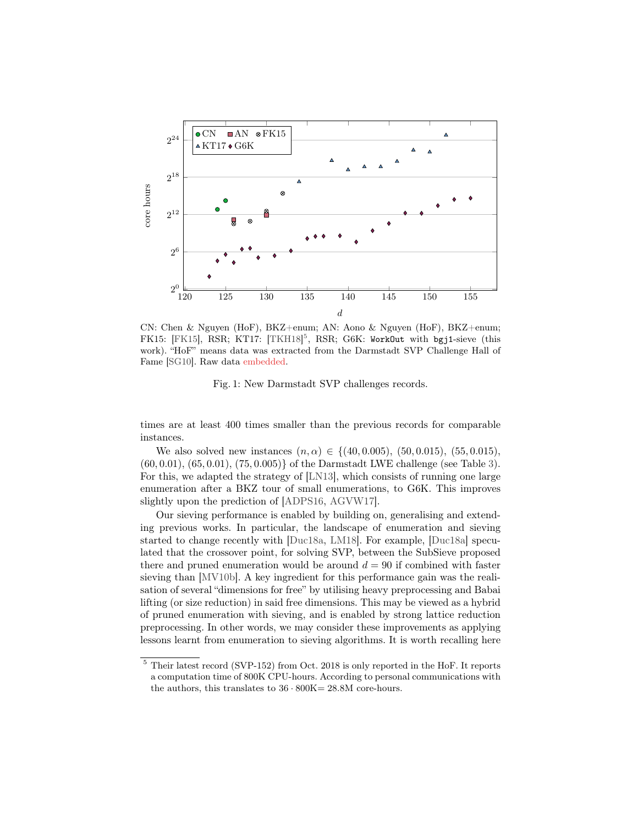<span id="page-2-0"></span>

CN: Chen & Nguyen (HoF), BKZ+enum; AN: Aono & Nguyen (HoF), BKZ+enum; FK15: [\[FK15\]](#page-29-6), RSR; KT17: [\[TKH18\]](#page-30-4)<sup>[5](#page-2-1)</sup>, RSR; G6K: WorkOut with bgj1-sieve (this work). "HoF" means data was extracted from the Darmstadt SVP Challenge Hall of Fame [\[SG10\]](#page-30-1). Raw data embedded.

Fig. 1: New Darmstadt SVP challenges records.

times are at least 400 times smaller than the previous records for comparable instances.

We also solved new instances  $(n, \alpha) \in \{(40, 0.005), (50, 0.015), (55, 0.015),$ (60, 0.01), (65, 0.01), (75, 0.005)} of the Darmstadt LWE challenge (see Table [3\)](#page-26-0). For this, we adapted the strategy of [\[LN13\]](#page-29-7), which consists of running one large enumeration after a BKZ tour of small enumerations, to G6K. This improves slightly upon the prediction of [\[ADPS16,](#page-27-0) [AGVW17\]](#page-27-1).

Our sieving performance is enabled by building on, generalising and extending previous works. In particular, the landscape of enumeration and sieving started to change recently with [\[Duc18a,](#page-28-7) [LM18\]](#page-29-8). For example, [\[Duc18a\]](#page-28-7) speculated that the crossover point, for solving SVP, between the SubSieve proposed there and pruned enumeration would be around  $d = 90$  if combined with faster sieving than [\[MV10b\]](#page-30-0). A key ingredient for this performance gain was the realisation of several "dimensions for free" by utilising heavy preprocessing and Babai lifting (or size reduction) in said free dimensions. This may be viewed as a hybrid of pruned enumeration with sieving, and is enabled by strong lattice reduction preprocessing. In other words, we may consider these improvements as applying lessons learnt from enumeration to sieving algorithms. It is worth recalling here

<span id="page-2-1"></span><sup>5</sup> Their latest record (SVP-152) from Oct. 2018 is only reported in the HoF. It reports a computation time of 800K CPU-hours. According to personal communications with the authors, this translates to  $36 \cdot 800K = 28.8M$  core-hours.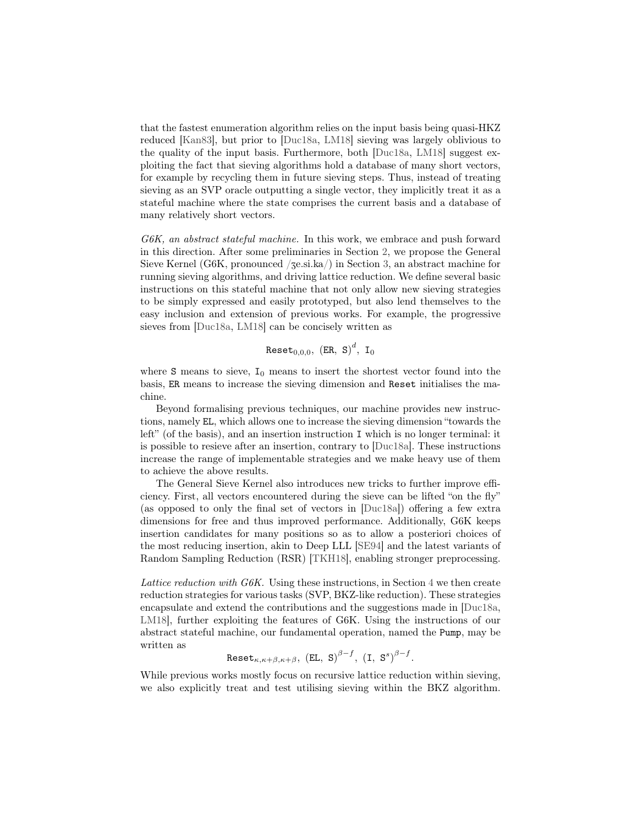that the fastest enumeration algorithm relies on the input basis being quasi-HKZ reduced [\[Kan83\]](#page-29-1), but prior to [\[Duc18a,](#page-28-7) [LM18\]](#page-29-8) sieving was largely oblivious to the quality of the input basis. Furthermore, both [\[Duc18a,](#page-28-7) [LM18\]](#page-29-8) suggest exploiting the fact that sieving algorithms hold a database of many short vectors, for example by recycling them in future sieving steps. Thus, instead of treating sieving as an SVP oracle outputting a single vector, they implicitly treat it as a stateful machine where the state comprises the current basis and a database of many relatively short vectors.

G6K, an abstract stateful machine. In this work, we embrace and push forward in this direction. After some preliminaries in Section [2,](#page-5-0) we propose the General Sieve Kernel (G6K, pronounced  $\ell$ ge.si.ka $\ell$ ) in Section [3,](#page-7-0) an abstract machine for running sieving algorithms, and driving lattice reduction. We define several basic instructions on this stateful machine that not only allow new sieving strategies to be simply expressed and easily prototyped, but also lend themselves to the easy inclusion and extension of previous works. For example, the progressive sieves from [\[Duc18a,](#page-28-7) [LM18\]](#page-29-8) can be concisely written as

Reset $_{0,0,0},\;$  (ER, S) $^d,\;$  I $_0$ 

where S means to sieve,  $I_0$  means to insert the shortest vector found into the basis, ER means to increase the sieving dimension and Reset initialises the machine.

Beyond formalising previous techniques, our machine provides new instructions, namely EL, which allows one to increase the sieving dimension "towards the left" (of the basis), and an insertion instruction I which is no longer terminal: it is possible to resieve after an insertion, contrary to [\[Duc18a\]](#page-28-7). These instructions increase the range of implementable strategies and we make heavy use of them to achieve the above results.

The General Sieve Kernel also introduces new tricks to further improve efficiency. First, all vectors encountered during the sieve can be lifted "on the fly" (as opposed to only the final set of vectors in [\[Duc18a\]](#page-28-7)) offering a few extra dimensions for free and thus improved performance. Additionally, G6K keeps insertion candidates for many positions so as to allow a posteriori choices of the most reducing insertion, akin to Deep LLL [\[SE94\]](#page-30-5) and the latest variants of Random Sampling Reduction (RSR) [\[TKH18\]](#page-30-4), enabling stronger preprocessing.

Lattice reduction with  $G6K$ . Using these instructions, in Section [4](#page-11-0) we then create reduction strategies for various tasks (SVP, BKZ-like reduction). These strategies encapsulate and extend the contributions and the suggestions made in [\[Duc18a,](#page-28-7) [LM18\]](#page-29-8), further exploiting the features of G6K. Using the instructions of our abstract stateful machine, our fundamental operation, named the Pump, may be written as

$$
\text{Reset}_{\kappa,\kappa+\beta,\kappa+\beta}, \text{ (EL, S)}^{\beta-f}, \text{ (I, S)}^{\beta-f}.
$$

While previous works mostly focus on recursive lattice reduction within sieving, we also explicitly treat and test utilising sieving within the BKZ algorithm.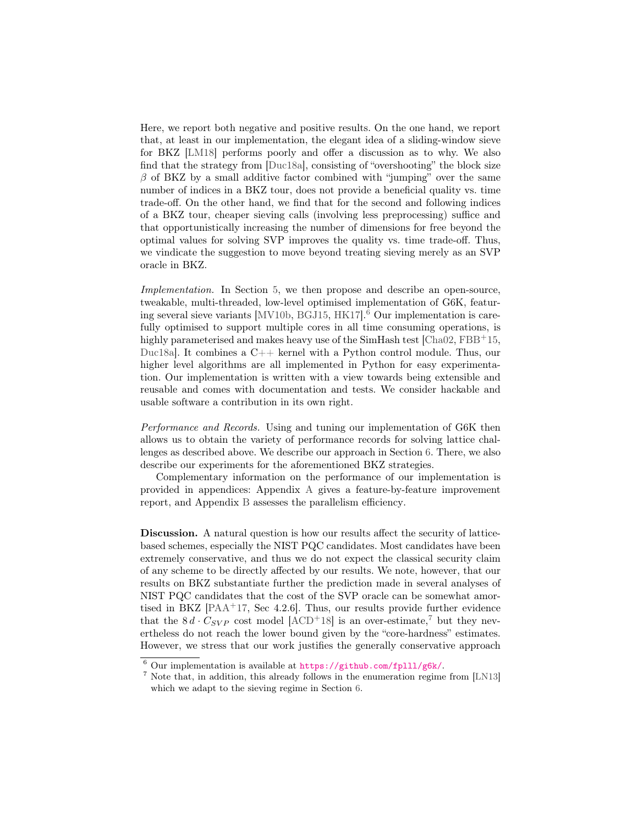Here, we report both negative and positive results. On the one hand, we report that, at least in our implementation, the elegant idea of a sliding-window sieve for BKZ [\[LM18\]](#page-29-8) performs poorly and offer a discussion as to why. We also find that the strategy from [\[Duc18a\]](#page-28-7), consisting of "overshooting" the block size  $\beta$  of BKZ by a small additive factor combined with "jumping" over the same number of indices in a BKZ tour, does not provide a beneficial quality vs. time trade-off. On the other hand, we find that for the second and following indices of a BKZ tour, cheaper sieving calls (involving less preprocessing) suffice and that opportunistically increasing the number of dimensions for free beyond the optimal values for solving SVP improves the quality vs. time trade-off. Thus, we vindicate the suggestion to move beyond treating sieving merely as an SVP oracle in BKZ.

Implementation. In Section [5,](#page-15-0) we then propose and describe an open-source, tweakable, multi-threaded, low-level optimised implementation of G6K, featur-ing several sieve variants [\[MV10b,](#page-30-0) [BGJ15,](#page-28-1) [HK17\]](#page-29-0). $<sup>6</sup>$  $<sup>6</sup>$  $<sup>6</sup>$  Our implementation is care-</sup> fully optimised to support multiple cores in all time consuming operations, is highly parameterised and makes heavy use of the SimHash test  $[Cha02, FBB<sup>+</sup>15,$  $[Cha02, FBB<sup>+</sup>15,$  $[Cha02, FBB<sup>+</sup>15,$  $[Cha02, FBB<sup>+</sup>15,$ [Duc18a\]](#page-28-7). It combines a C++ kernel with a Python control module. Thus, our higher level algorithms are all implemented in Python for easy experimentation. Our implementation is written with a view towards being extensible and reusable and comes with documentation and tests. We consider hackable and usable software a contribution in its own right.

Performance and Records. Using and tuning our implementation of G6K then allows us to obtain the variety of performance records for solving lattice challenges as described above. We describe our approach in Section [6.](#page-21-0) There, we also describe our experiments for the aforementioned BKZ strategies.

Complementary information on the performance of our implementation is provided in appendices: Appendix [A](#page-30-6) gives a feature-by-feature improvement report, and Appendix [B](#page-32-0) assesses the parallelism efficiency.

Discussion. A natural question is how our results affect the security of latticebased schemes, especially the NIST PQC candidates. Most candidates have been extremely conservative, and thus we do not expect the classical security claim of any scheme to be directly affected by our results. We note, however, that our results on BKZ substantiate further the prediction made in several analyses of NIST PQC candidates that the cost of the SVP oracle can be somewhat amortised in BKZ  $[PAA+17, Sec 4.2.6]$  $[PAA+17, Sec 4.2.6]$ . Thus, our results provide further evidence that the  $8 d \cdot C_{SVP}$  cost model  $[ACD+18]$  $[ACD+18]$  is an over-estimate,<sup>[7](#page-4-1)</sup> but they nevertheless do not reach the lower bound given by the "core-hardness" estimates. However, we stress that our work justifies the generally conservative approach

<span id="page-4-0"></span> $6$  Our implementation is available at  $\frac{https://github.com/fp111/g6k/}{$ .

<span id="page-4-1"></span><sup>7</sup> Note that, in addition, this already follows in the enumeration regime from [\[LN13\]](#page-29-7) which we adapt to the sieving regime in Section [6.](#page-21-0)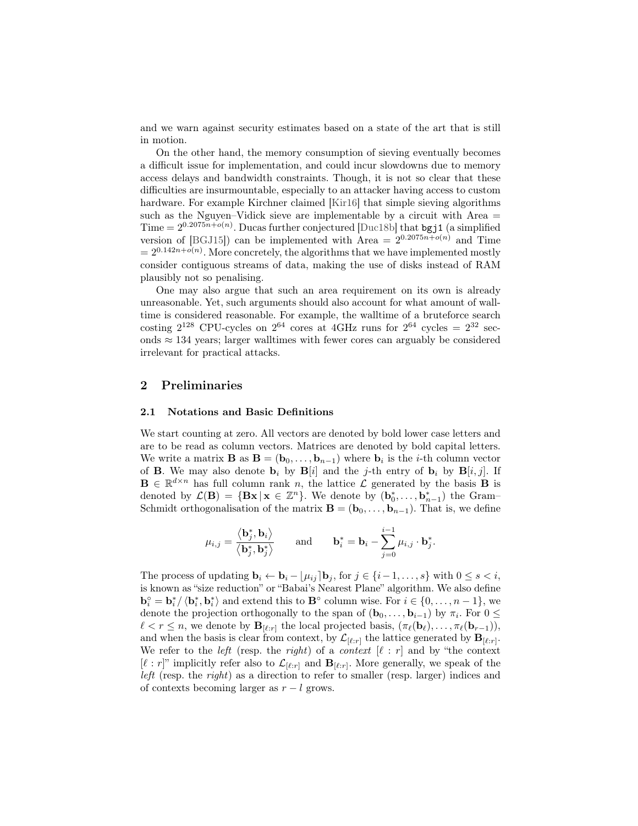and we warn against security estimates based on a state of the art that is still in motion.

On the other hand, the memory consumption of sieving eventually becomes a difficult issue for implementation, and could incur slowdowns due to memory access delays and bandwidth constraints. Though, it is not so clear that these difficulties are insurmountable, especially to an attacker having access to custom hardware. For example Kirchner claimed [\[Kir16\]](#page-29-9) that simple sieving algorithms such as the Nguyen–Vidick sieve are implementable by a circuit with Area  $=$ Time =  $2^{0.2075n + o(n)}$ . Ducas further conjectured [\[Duc18b\]](#page-28-10) that bgj1 (a simplified version of [\[BGJ15\]](#page-28-1)) can be implemented with Area =  $2^{0.2075n+o(n)}$  and Time  $= 2^{0.142n + o(n)}$ . More concretely, the algorithms that we have implemented mostly consider contiguous streams of data, making the use of disks instead of RAM plausibly not so penalising.

One may also argue that such an area requirement on its own is already unreasonable. Yet, such arguments should also account for what amount of walltime is considered reasonable. For example, the walltime of a bruteforce search costing  $2^{128}$  CPU-cycles on  $2^{64}$  cores at 4GHz runs for  $2^{64}$  cycles =  $2^{32}$  seconds  $\approx 134$  years; larger walltimes with fewer cores can arguably be considered irrelevant for practical attacks.

# <span id="page-5-0"></span>2 Preliminaries

#### 2.1 Notations and Basic Definitions

We start counting at zero. All vectors are denoted by bold lower case letters and are to be read as column vectors. Matrices are denoted by bold capital letters. We write a matrix **B** as  $\mathbf{B} = (\mathbf{b}_0, \dots, \mathbf{b}_{n-1})$  where  $\mathbf{b}_i$  is the *i*-th column vector of **B**. We may also denote  $\mathbf{b}_i$  by  $\mathbf{B}[i]$  and the j-th entry of  $\mathbf{b}_i$  by  $\mathbf{B}[i, j]$ . If  $\mathbf{B} \in \mathbb{R}^{d \times n}$  has full column rank n, the lattice  $\mathcal{L}$  generated by the basis **B** is denoted by  $\mathcal{L}(\mathbf{B}) = {\mathbf{Bx} | \mathbf{x} \in \mathbb{Z}^n}$ . We denote by  $(\mathbf{b}_0^*, \dots, \mathbf{b}_{n-1}^*)$  the Gram-Schmidt orthogonalisation of the matrix  $\mathbf{B} = (\mathbf{b}_0, \dots, \mathbf{b}_{n-1})$ . That is, we define

$$
\mu_{i,j} = \frac{\langle \mathbf{b}_j^*, \mathbf{b}_i \rangle}{\langle \mathbf{b}_j^*, \mathbf{b}_j^* \rangle} \quad \text{and} \quad \mathbf{b}_i^* = \mathbf{b}_i - \sum_{j=0}^{i-1} \mu_{i,j} \cdot \mathbf{b}_j^*.
$$

The process of updating  $\mathbf{b}_i \leftarrow \mathbf{b}_i - |\mu_{ij}| \mathbf{b}_j$ , for  $j \in \{i-1,\ldots,s\}$  with  $0 \leq s < i$ , is known as "size reduction" or "Babai's Nearest Plane" algorithm. We also define  $\mathbf{b}_i^{\circ} = \mathbf{b}_i^* / \langle \mathbf{b}_i^*, \mathbf{b}_i^* \rangle$  and extend this to  $\mathbf{B}^{\circ}$  column wise. For  $i \in \{0, ..., n-1\}$ , we denote the projection orthogonally to the span of  $(b_0, \ldots, b_{i-1})$  by  $\pi_i$ . For  $0 \leq$  $\ell < r \leq n$ , we denote by  $\mathbf{B}_{[\ell:r]}$  the local projected basis,  $(\pi_{\ell}(\mathbf{b}_{\ell}), \ldots, \pi_{\ell}(\mathbf{b}_{r-1}))$ , and when the basis is clear from context, by  $\mathcal{L}_{[\ell:r]}$  the lattice generated by  $\mathbf{B}_{[\ell:r]}$ . We refer to the *left* (resp. the *right*) of a *context*  $[\ell : r]$  and by "the context"  $[\ell : r]^n$  implicitly refer also to  $\mathcal{L}_{[\ell:r]}$  and  $\mathbf{B}_{[\ell:r]}$ . More generally, we speak of the left (resp. the right) as a direction to refer to smaller (resp. larger) indices and of contexts becoming larger as  $r - l$  grows.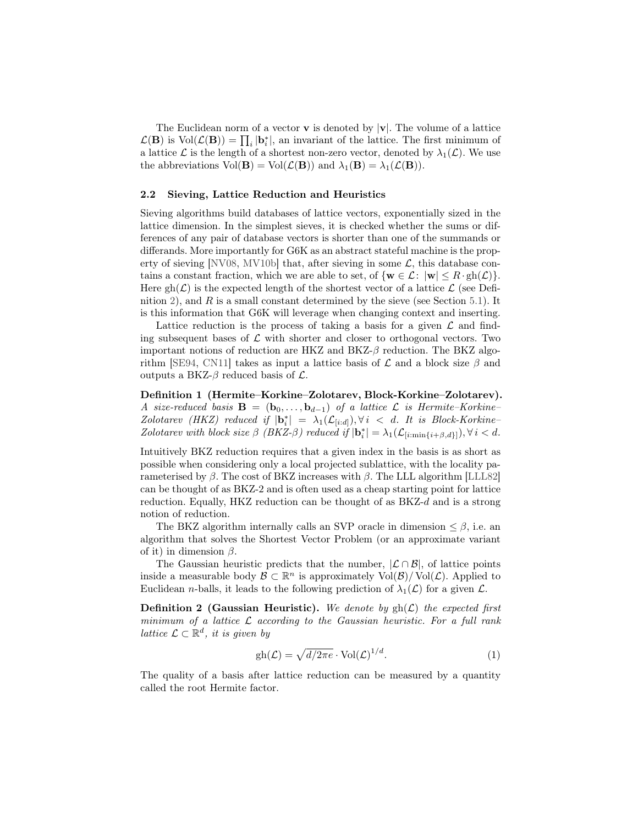The Euclidean norm of a vector **v** is denoted by  $|\mathbf{v}|$ . The volume of a lattice  $\mathcal{L}(\mathbf{B})$  is  $\text{Vol}(\mathcal{L}(\mathbf{B})) = \prod_i |\mathbf{b}_i^*|$ , an invariant of the lattice. The first minimum of a lattice  $\mathcal L$  is the length of a shortest non-zero vector, denoted by  $\lambda_1(\mathcal L)$ . We use the abbreviations  $Vol(\mathbf{B}) = Vol(\mathcal{L}(\mathbf{B}))$  and  $\lambda_1(\mathbf{B}) = \lambda_1(\mathcal{L}(\mathbf{B}))$ .

### 2.2 Sieving, Lattice Reduction and Heuristics

Sieving algorithms build databases of lattice vectors, exponentially sized in the lattice dimension. In the simplest sieves, it is checked whether the sums or differences of any pair of database vectors is shorter than one of the summands or differands. More importantly for G6K as an abstract stateful machine is the prop-erty of sieving [\[NV08,](#page-30-8) [MV10b\]](#page-30-0) that, after sieving in some  $\mathcal{L}$ , this database contains a constant fraction, which we are able to set, of  $\{w \in \mathcal{L}: |w| \leq R \cdot gh(\mathcal{L})\}.$ Here  $gh(\mathcal{L})$  is the expected length of the shortest vector of a lattice  $\mathcal{L}$  (see Defi-nition [2\)](#page-6-0), and  $R$  is a small constant determined by the sieve (see Section [5.1\)](#page-15-1). It is this information that G6K will leverage when changing context and inserting.

Lattice reduction is the process of taking a basis for a given  $\mathcal L$  and finding subsequent bases of  $\mathcal L$  with shorter and closer to orthogonal vectors. Two important notions of reduction are HKZ and  $BKZ-\beta$  reduction. The BKZ algo-rithm [\[SE94,](#page-30-5) [CN11\]](#page-28-6) takes as input a lattice basis of  $\mathcal L$  and a block size  $\beta$  and outputs a BKZ- $\beta$  reduced basis of  $\mathcal{L}$ .

Definition 1 (Hermite–Korkine–Zolotarev, Block-Korkine–Zolotarev). A size-reduced basis  $\mathbf{B} = (\mathbf{b}_0, \dots, \mathbf{b}_{d-1})$  of a lattice  $\mathcal{L}$  is Hermite–Korkine– Zolotarev (HKZ) reduced if  $|\mathbf{b}_i^*| = \lambda_1(\mathcal{L}_{[i:d]})$ ,  $\forall i \leq d$ . It is Block-Korkine-Zolotarev with block size  $\beta$  (BKZ- $\beta$ ) reduced if  $|\mathbf{b}_i^*| = \lambda_1(\mathcal{L}_{[i:\min\{i+\beta,d\}]}), \forall i < d$ .

Intuitively BKZ reduction requires that a given index in the basis is as short as possible when considering only a local projected sublattice, with the locality parameterised by  $\beta$ . The cost of BKZ increases with  $\beta$ . The LLL algorithm [\[LLL82\]](#page-29-10) can be thought of as BKZ-2 and is often used as a cheap starting point for lattice reduction. Equally, HKZ reduction can be thought of as  $BKZ-d$  and is a strong notion of reduction.

The BKZ algorithm internally calls an SVP oracle in dimension  $\leq \beta$ , i.e. an algorithm that solves the Shortest Vector Problem (or an approximate variant of it) in dimension  $\beta$ .

The Gaussian heuristic predicts that the number,  $\mathcal{L} \cap \mathcal{B}$ , of lattice points inside a measurable body  $\mathcal{B} \subset \mathbb{R}^n$  is approximately  $\text{Vol}(\mathcal{B})/\text{Vol}(\mathcal{L})$ . Applied to Euclidean *n*-balls, it leads to the following prediction of  $\lambda_1(\mathcal{L})$  for a given  $\mathcal{L}$ .

<span id="page-6-0"></span>**Definition 2 (Gaussian Heuristic).** We denote by  $gh(\mathcal{L})$  the expected first minimum of a lattice  $\mathcal L$  according to the Gaussian heuristic. For a full rank lattice  $\mathcal{L} \subset \mathbb{R}^d$ , it is given by

$$
gh(\mathcal{L}) = \sqrt{d/2\pi e} \cdot \text{Vol}(\mathcal{L})^{1/d}.
$$
 (1)

The quality of a basis after lattice reduction can be measured by a quantity called the root Hermite factor.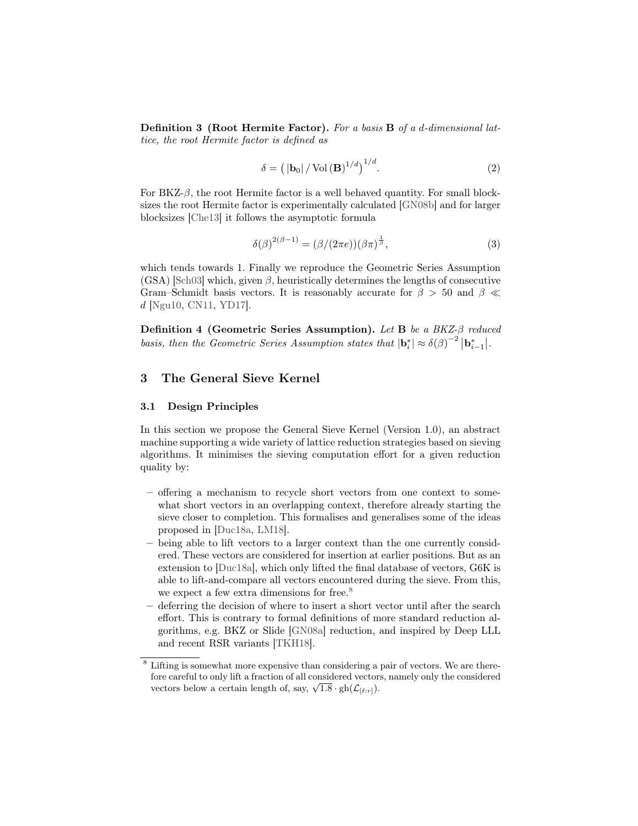Definition 3 (Root Hermite Factor). For a basis B of a d-dimensional lattice, the root Hermite factor is defined as

$$
\delta = \left( |\mathbf{b}_0| / \operatorname{Vol}(\mathbf{B})^{1/d} \right)^{1/d}.
$$
 (2)

For BKZ- $\beta$ , the root Hermite factor is a well behaved quantity. For small blocksizes the root Hermite factor is experimentally calculated [\[GN08b\]](#page-29-11) and for larger blocksizes [\[Che13\]](#page-28-11) it follows the asymptotic formula

$$
\delta(\beta)^{2(\beta - 1)} = (\beta/(2\pi e))(\beta \pi)^{\frac{1}{\beta}},\tag{3}
$$

which tends towards 1. Finally we reproduce the Geometric Series Assumption  $(GSA)$  [\[Sch03\]](#page-30-9) which, given  $\beta$ , heuristically determines the lengths of consecutive Gram–Schmidt basis vectors. It is reasonably accurate for  $\beta > 50$  and  $\beta \ll$ d [\[Ngu10,](#page-30-10) [CN11,](#page-28-6) [YD17\]](#page-30-11).

Definition 4 (Geometric Series Assumption). Let B be a BKZ-β reduced basis, then the Geometric Series Assumption states that  $|\mathbf{b}_i^*| \approx \delta(\beta)^{-2} |\mathbf{b}_{i-1}^*|$ .

# <span id="page-7-0"></span>3 The General Sieve Kernel

#### 3.1 Design Principles

In this section we propose the General Sieve Kernel (Version 1.0), an abstract machine supporting a wide variety of lattice reduction strategies based on sieving algorithms. It minimises the sieving computation effort for a given reduction quality by:

- offering a mechanism to recycle short vectors from one context to somewhat short vectors in an overlapping context, therefore already starting the sieve closer to completion. This formalises and generalises some of the ideas proposed in [\[Duc18a,](#page-28-7) [LM18\]](#page-29-8).
- being able to lift vectors to a larger context than the one currently considered. These vectors are considered for insertion at earlier positions. But as an extension to [\[Duc18a\]](#page-28-7), which only lifted the final database of vectors, G6K is able to lift-and-compare all vectors encountered during the sieve. From this, we expect a few extra dimensions for free.<sup>[8](#page-7-1)</sup>
- deferring the decision of where to insert a short vector until after the search effort. This is contrary to formal definitions of more standard reduction algorithms, e.g. BKZ or Slide [\[GN08a\]](#page-29-12) reduction, and inspired by Deep LLL and recent RSR variants [\[TKH18\]](#page-30-4).

<span id="page-7-1"></span><sup>8</sup> Lifting is somewhat more expensive than considering a pair of vectors. We are therefore careful to only lift a fraction of all considered vectors, namely only the considered fore careful to only fift a fraction of all considered vectors<br>vectors below a certain length of, say,  $\sqrt{1.8} \cdot gh(\mathcal{L}_{[\ell:r]})$ .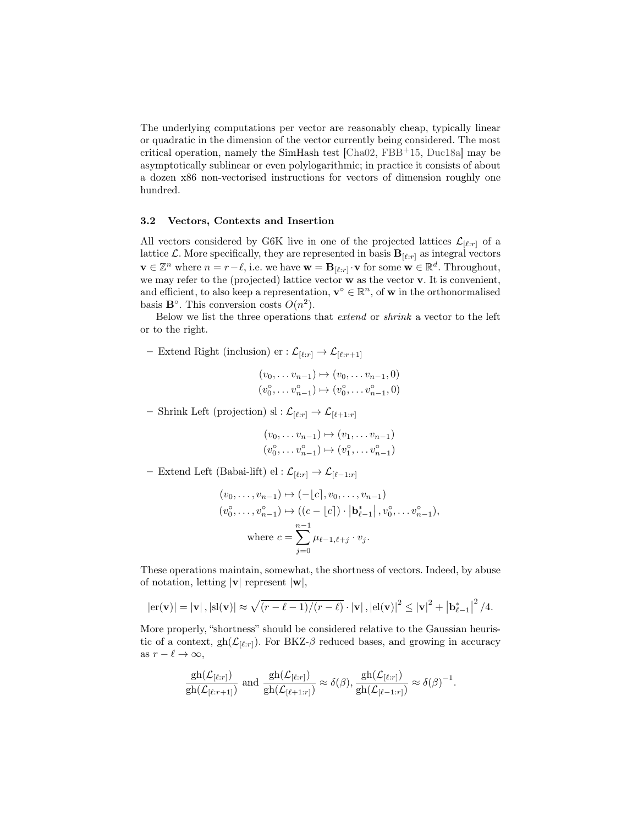The underlying computations per vector are reasonably cheap, typically linear or quadratic in the dimension of the vector currently being considered. The most critical operation, namely the SimHash test [\[Cha02,](#page-28-8) [FBB](#page-28-9)+15, [Duc18a\]](#page-28-7) may be asymptotically sublinear or even polylogarithmic; in practice it consists of about a dozen x86 non-vectorised instructions for vectors of dimension roughly one hundred.

#### <span id="page-8-0"></span>3.2 Vectors, Contexts and Insertion

All vectors considered by G6K live in one of the projected lattices  $\mathcal{L}_{[\ell:r]}$  of a lattice  $\mathcal{L}$ . More specifically, they are represented in basis  $\mathbf{B}_{[\ell:r]}$  as integral vectors  $\mathbf{v} \in \mathbb{Z}^n$  where  $n = r - \ell$ , i.e. we have  $\mathbf{w} = \mathbf{B}_{\lbrack \ell : r \rbrack} \cdot \mathbf{v}$  for some  $\mathbf{w} \in \mathbb{R}^d$ . Throughout, we may refer to the (projected) lattice vector w as the vector v. It is convenient, and efficient, to also keep a representation,  $\mathbf{v}^{\circ} \in \mathbb{R}^{n}$ , of **w** in the orthonormalised basis  $\mathbf{B}^{\circ}$ . This conversion costs  $O(n^2)$ .

Below we list the three operations that extend or shrink a vector to the left or to the right.

– Extend Right (inclusion) er :  $\mathcal{L}_{[\ell:r]} \to \mathcal{L}_{[\ell:r+1]}$ 

$$
(v_0, \ldots v_{n-1}) \mapsto (v_0, \ldots v_{n-1}, 0)
$$
  

$$
(v_0^{\circ}, \ldots v_{n-1}^{\circ}) \mapsto (v_0^{\circ}, \ldots v_{n-1}^{\circ}, 0)
$$

– Shrink Left (projection) sl :  $\mathcal{L}_{\lbrack \ell :r\rbrack} \to \mathcal{L}_{\lbrack \ell+1:r\rbrack}$ 

$$
(v_0, \ldots v_{n-1}) \mapsto (v_1, \ldots v_{n-1})
$$
  

$$
(v_0^{\circ}, \ldots v_{n-1}^{\circ}) \mapsto (v_1^{\circ}, \ldots v_{n-1}^{\circ})
$$

– Extend Left (Babai-lift) el :  $\mathcal{L}_{[\ell:r]}$  →  $\mathcal{L}_{[\ell-1:r]}$ 

$$
(v_0, \ldots, v_{n-1}) \mapsto (-\lfloor c \rfloor, v_0, \ldots, v_{n-1})
$$
  
\n
$$
(v_0^{\circ}, \ldots, v_{n-1}^{\circ}) \mapsto ((c - \lfloor c \rfloor) \cdot |\mathbf{b}_{\ell-1}^*|, v_0^{\circ}, \ldots v_{n-1}^{\circ}),
$$
  
\nwhere  $c = \sum_{j=0}^{n-1} \mu_{\ell-1, \ell+j} \cdot v_j$ .

These operations maintain, somewhat, the shortness of vectors. Indeed, by abuse of notation, letting  $|v|$  represent  $|w|$ ,

$$
|\mathrm{er}(\mathbf{v})| = |\mathbf{v}|, |\mathrm{sl}(\mathbf{v})| \approx \sqrt{(r-\ell-1)/(r-\ell)} \cdot |\mathbf{v}|, |\mathrm{el}(\mathbf{v})|^2 \leq |\mathbf{v}|^2 + |\mathbf{b}_{\ell-1}^*|^2 / 4.
$$

More properly, "shortness" should be considered relative to the Gaussian heuristic of a context, gh( $\mathcal{L}_{[\ell:r]}$ ). For BKZ- $\beta$  reduced bases, and growing in accuracy as  $r - \ell \to \infty$ ,

$$
\frac{\mathrm{gh}(\mathcal{L}_{[\ell:r]})}{\mathrm{gh}(\mathcal{L}_{[\ell:r+1]})} \text{ and } \frac{\mathrm{gh}(\mathcal{L}_{[\ell:r]})}{\mathrm{gh}(\mathcal{L}_{[\ell+1:r]})} \approx \delta(\beta), \frac{\mathrm{gh}(\mathcal{L}_{[\ell:r]})}{\mathrm{gh}(\mathcal{L}_{[\ell-1:r]})} \approx \delta(\beta)^{-1}.
$$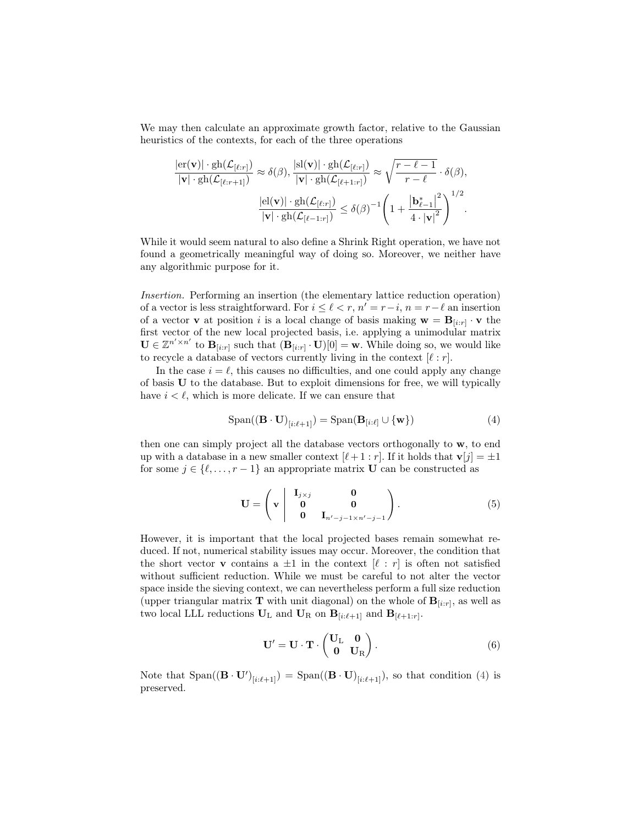We may then calculate an approximate growth factor, relative to the Gaussian heuristics of the contexts, for each of the three operations

$$
\frac{|\mathrm{er}(\mathbf{v})| \cdot g h(\mathcal{L}_{[\ell:r]})}{|\mathbf{v}| \cdot g h(\mathcal{L}_{[\ell:r+1]})} \approx \delta(\beta), \frac{|\mathrm{sl}(\mathbf{v})| \cdot g h(\mathcal{L}_{[\ell:r]})}{|\mathbf{v}| \cdot g h(\mathcal{L}_{[\ell+1:r]})} \approx \sqrt{\frac{r-\ell-1}{r-\ell}} \cdot \delta(\beta),
$$

$$
\frac{|\mathrm{el}(\mathbf{v})| \cdot g h(\mathcal{L}_{[\ell:r]})}{|\mathbf{v}| \cdot g h(\mathcal{L}_{[\ell-1:r]})} \le \delta(\beta)^{-1} \left(1 + \frac{|\mathbf{b}_{\ell-1}^*|^2}{4 \cdot |\mathbf{v}|^2}\right)^{1/2}.
$$

While it would seem natural to also define a Shrink Right operation, we have not found a geometrically meaningful way of doing so. Moreover, we neither have any algorithmic purpose for it.

Insertion. Performing an insertion (the elementary lattice reduction operation) of a vector is less straightforward. For  $i \leq \ell < r$ ,  $n' = r - i$ ,  $n = r - \ell$  an insertion of a vector **v** at position *i* is a local change of basis making  $\mathbf{w} = \mathbf{B}_{[i:r]} \cdot \mathbf{v}$  the first vector of the new local projected basis, i.e. applying a unimodular matrix  $\mathbf{U} \in \mathbb{Z}^{n' \times n'}$  to  $\mathbf{B}_{[i:r]}$  such that  $(\mathbf{B}_{[i:r]} \cdot \mathbf{U})[0] = \mathbf{w}$ . While doing so, we would like to recycle a database of vectors currently living in the context  $[\ell : r]$ .

In the case  $i = \ell$ , this causes no difficulties, and one could apply any change of basis U to the database. But to exploit dimensions for free, we will typically have  $i < \ell$ , which is more delicate. If we can ensure that

<span id="page-9-0"></span>
$$
Span((\mathbf{B} \cdot \mathbf{U})_{[i:\ell+1]}) = Span(\mathbf{B}_{[i:\ell]} \cup \{\mathbf{w}\})
$$
\n(4)

then one can simply project all the database vectors orthogonally to w, to end up with a database in a new smaller context  $[\ell + 1 : r]$ . If it holds that  $\mathbf{v}[j] = \pm 1$ for some  $j \in \{\ell, \ldots, r - 1\}$  an appropriate matrix **U** can be constructed as

<span id="page-9-1"></span>
$$
\mathbf{U} = \left( \mathbf{v} \begin{vmatrix} \mathbf{I}_{j \times j} & \mathbf{0} \\ \mathbf{0} & \mathbf{0} \\ \mathbf{0} & \mathbf{I}_{n'-j-1 \times n'-j-1} \end{vmatrix} \right). \tag{5}
$$

However, it is important that the local projected bases remain somewhat reduced. If not, numerical stability issues may occur. Moreover, the condition that the short vector **v** contains a  $\pm 1$  in the context  $[\ell : r]$  is often not satisfied without sufficient reduction. While we must be careful to not alter the vector space inside the sieving context, we can nevertheless perform a full size reduction (upper triangular matrix **T** with unit diagonal) on the whole of  $\mathbf{B}_{[i:r]}$ , as well as two local LLL reductions  $U_L$  and  $U_R$  on  $B_{[i:\ell+1]}$  and  $B_{[\ell+1:r]}$ .

<span id="page-9-2"></span>
$$
\mathbf{U}' = \mathbf{U} \cdot \mathbf{T} \cdot \begin{pmatrix} \mathbf{U}_{\mathrm{L}} & \mathbf{0} \\ \mathbf{0} & \mathbf{U}_{\mathrm{R}} \end{pmatrix} . \tag{6}
$$

Note that  $Span((\mathbf{B} \cdot \mathbf{U}')_{[i:\ell+1]}) = Span((\mathbf{B} \cdot \mathbf{U})_{[i:\ell+1]})$ , so that condition [\(4\)](#page-9-0) is preserved.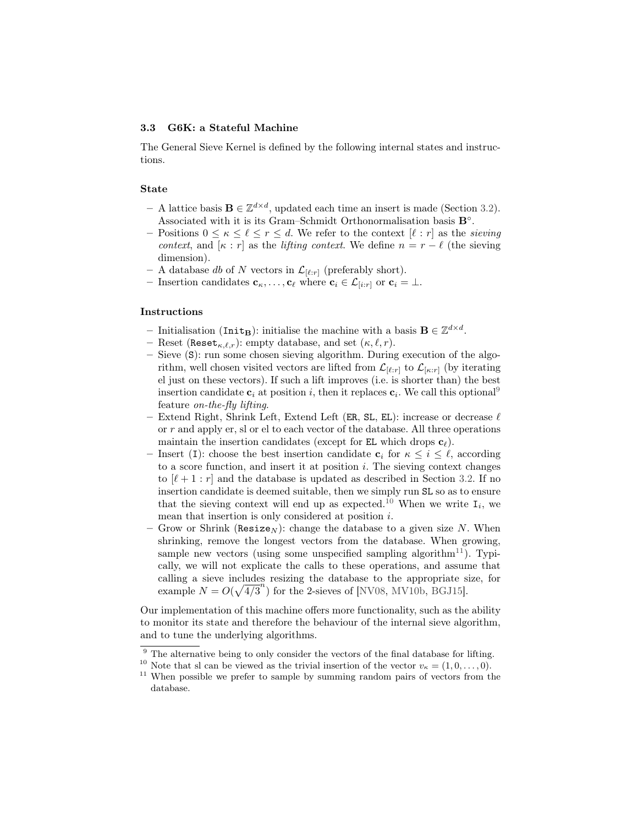## 3.3 G6K: a Stateful Machine

The General Sieve Kernel is defined by the following internal states and instructions.

#### State

- A lattice basis **B** ∈  $\mathbb{Z}^{d \times d}$ , updated each time an insert is made (Section [3.2\)](#page-8-0). Associated with it is its Gram–Schmidt Orthonormalisation basis  $\mathbf{B}^\circ.$
- Positions  $0 \leq \kappa \leq \ell \leq r \leq d$ . We refer to the context  $[\ell : r]$  as the sieving context, and  $[\kappa : r]$  as the *lifting context*. We define  $n = r - \ell$  (the sieving dimension).
- A database db of N vectors in  $\mathcal{L}_{[\ell:r]}$  (preferably short).
- Insertion candidates  $\mathbf{c}_{\kappa}, \ldots, \mathbf{c}_{\ell}$  where  $\mathbf{c}_i \in \mathcal{L}_{[i:r]}$  or  $\mathbf{c}_i = \perp$ .

#### Instructions

- Initialisation (Init<sub>B</sub>): initialise the machine with a basis  $B \in \mathbb{Z}^{d \times d}$ .
- Reset (Reset<sub> $\kappa,\ell,r$ </sub>): empty database, and set  $(\kappa,\ell,r)$ .
- Sieve (S): run some chosen sieving algorithm. During execution of the algorithm, well chosen visited vectors are lifted from  $\mathcal{L}_{[\ell:r]}$  to  $\mathcal{L}_{[\kappa:r]}$  (by iterating el just on these vectors). If such a lift improves (i.e. is shorter than) the best insertion candidate  $c_i$  at position i, then it replaces  $c_i$ . We call this optional<sup>[9](#page-10-0)</sup> feature on-the-fly lifting.
- Extend Right, Shrink Left, Extend Left (ER, SL, EL): increase or decrease  $\ell$ or r and apply er, sl or el to each vector of the database. All three operations maintain the insertion candidates (except for EL which drops  $c_\ell$ ).
- Insert (I): choose the best insertion candidate  $c_i$  for  $\kappa \leq i \leq \ell$ , according to a score function, and insert it at position  $i$ . The sieving context changes to  $[\ell + 1 : r]$  and the database is updated as described in Section [3.2.](#page-8-0) If no insertion candidate is deemed suitable, then we simply run SL so as to ensure that the sieving context will end up as expected.<sup>[10](#page-10-1)</sup> When we write  $I_i$ , we mean that insertion is only considered at position i.
- Grow or Shrink (Resize<sub>N</sub>): change the database to a given size N. When shrinking, remove the longest vectors from the database. When growing, sample new vectors (using some unspecified sampling algorithm<sup>[11](#page-10-2)</sup>). Typically, we will not explicate the calls to these operations, and assume that calling a sieve includes resizing the database to the appropriate size, for example  $N = O(\sqrt{4/3}^n)$  for the 2-sieves of [\[NV08,](#page-30-8) [MV10b,](#page-30-0) [BGJ15\]](#page-28-1).

Our implementation of this machine offers more functionality, such as the ability to monitor its state and therefore the behaviour of the internal sieve algorithm, and to tune the underlying algorithms.

<span id="page-10-0"></span> $9$  The alternative being to only consider the vectors of the final database for lifting.

<span id="page-10-1"></span><sup>&</sup>lt;sup>10</sup> Note that sl can be viewed as the trivial insertion of the vector  $v_{\kappa} = (1, 0, \ldots, 0)$ .

<span id="page-10-2"></span><sup>&</sup>lt;sup>11</sup> When possible we prefer to sample by summing random pairs of vectors from the database.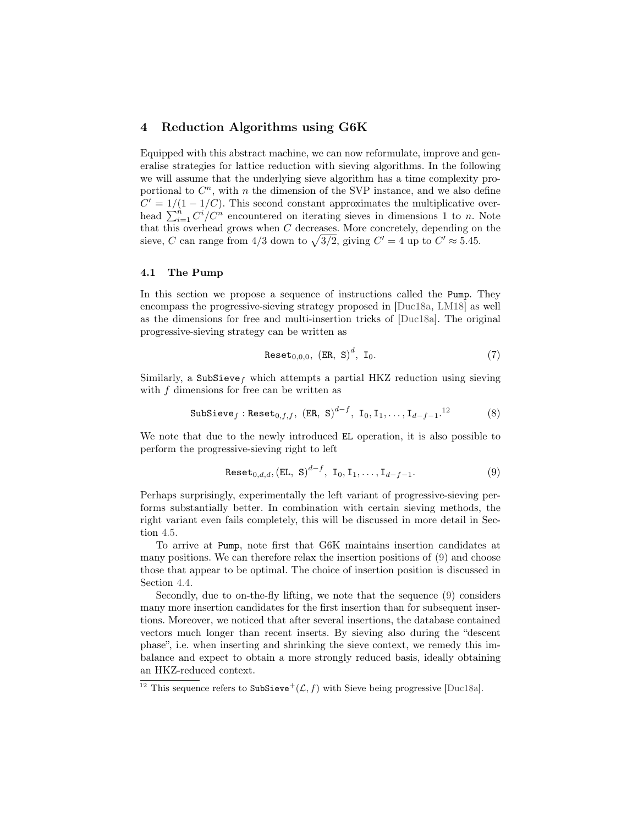# <span id="page-11-0"></span>4 Reduction Algorithms using G6K

Equipped with this abstract machine, we can now reformulate, improve and generalise strategies for lattice reduction with sieving algorithms. In the following we will assume that the underlying sieve algorithm has a time complexity proportional to  $C<sup>n</sup>$ , with n the dimension of the SVP instance, and we also define  $C' = 1/(1 - 1/C)$ . This second constant approximates the multiplicative overhead  $\sum_{i=1}^{n} C^{i} / C^{n}$  encountered on iterating sieves in dimensions 1 to n. Note that this overhead grows when  $C$  decreases. More concretely, depending on the sieve, C can range from  $4/3$  down to  $\sqrt{3/2}$ , giving  $C' = 4$  up to  $C' \approx 5.45$ .

## 4.1 The Pump

In this section we propose a sequence of instructions called the Pump. They encompass the progressive-sieving strategy proposed in [\[Duc18a,](#page-28-7) [LM18\]](#page-29-8) as well as the dimensions for free and multi-insertion tricks of [\[Duc18a\]](#page-28-7). The original progressive-sieving strategy can be written as

$$
Reset_{0,0,0}, (ER, S)^{d}, I_0.
$$
 (7)

Similarly, a SubSieve<sub>f</sub> which attempts a partial HKZ reduction using sieving with  $f$  dimensions for free can be written as

$$
\texttt{SubSieve}_{f} : \texttt{Reset}_{0,f,f}, \ (\texttt{ER}, \ \texttt{S})^{d-f}, \ \texttt{I}_0, \texttt{I}_1, \dots, \texttt{I}_{d-f-1}.^{12} \tag{8}
$$

We note that due to the newly introduced EL operation, it is also possible to perform the progressive-sieving right to left

<span id="page-11-2"></span>
$$
Reset_{0,d,d}, (EL, S)^{d-f}, I_0, I_1, \ldots, I_{d-f-1}.
$$
\n(9)

Perhaps surprisingly, experimentally the left variant of progressive-sieving performs substantially better. In combination with certain sieving methods, the right variant even fails completely, this will be discussed in more detail in Section [4.5.](#page-15-2)

To arrive at Pump, note first that G6K maintains insertion candidates at many positions. We can therefore relax the insertion positions of [\(9\)](#page-11-2) and choose those that appear to be optimal. The choice of insertion position is discussed in Section [4.4.](#page-14-0)

Secondly, due to on-the-fly lifting, we note that the sequence [\(9\)](#page-11-2) considers many more insertion candidates for the first insertion than for subsequent insertions. Moreover, we noticed that after several insertions, the database contained vectors much longer than recent inserts. By sieving also during the "descent phase", i.e. when inserting and shrinking the sieve context, we remedy this imbalance and expect to obtain a more strongly reduced basis, ideally obtaining an HKZ-reduced context.

<span id="page-11-1"></span><sup>&</sup>lt;sup>12</sup> This sequence refers to SubSieve<sup>+</sup>( $\mathcal{L}, f$ ) with Sieve being progressive [\[Duc18a\]](#page-28-7).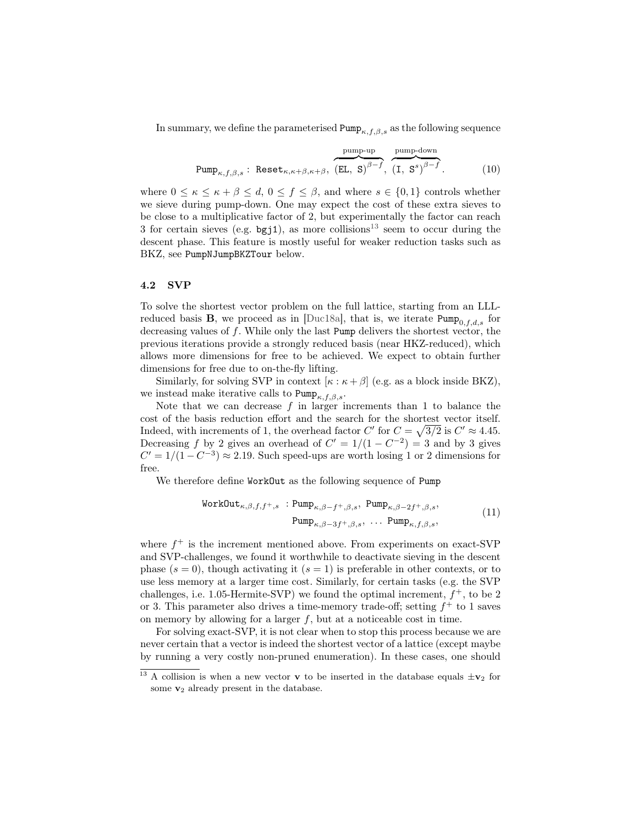In summary, we define the parameterised  $\text{Pump}_{\kappa,f,\beta,s}$  as the following sequence

$$
\text{Pump}_{\kappa, f, \beta, s} : \text{Reset}_{\kappa, \kappa + \beta, \kappa + \beta}, \overbrace{\text{(EL, S)}^{\beta - f}, \text{(I, S)}^{\text{pump-down}}}, \quad (10)
$$

where  $0 \leq \kappa \leq \kappa + \beta \leq d$ ,  $0 \leq f \leq \beta$ , and where  $s \in \{0,1\}$  controls whether we sieve during pump-down. One may expect the cost of these extra sieves to be close to a multiplicative factor of 2, but experimentally the factor can reach 3 for certain sieves (e.g.  $bgj1$ ), as more collisions<sup>[13](#page-12-0)</sup> seem to occur during the descent phase. This feature is mostly useful for weaker reduction tasks such as BKZ, see PumpNJumpBKZTour below.

#### 4.2 SVP

To solve the shortest vector problem on the full lattice, starting from an LLLreduced basis **B**, we proceed as in [\[Duc18a\]](#page-28-7), that is, we iterate Pump<sub>0</sub>,  $f_{dd,s}$  for decreasing values of f. While only the last Pump delivers the shortest vector, the previous iterations provide a strongly reduced basis (near HKZ-reduced), which allows more dimensions for free to be achieved. We expect to obtain further dimensions for free due to on-the-fly lifting.

Similarly, for solving SVP in context  $[\kappa : \kappa + \beta]$  (e.g. as a block inside BKZ), we instead make iterative calls to  $\text{Pump}_{\kappa,f,\beta,s}$ .

Note that we can decrease  $f$  in larger increments than 1 to balance the cost of the basis reduction effort and the search for the shortest vector itself. Indeed, with increments of 1, the overhead factor C' for  $C = \sqrt{3/2}$  is  $C' \approx 4.45$ . Decreasing f by 2 gives an overhead of  $C' = 1/(1 - C^{-2}) = 3$  and by 3 gives  $C' = 1/(1 - C^{-3}) \approx 2.19$ . Such speed-ups are worth losing 1 or 2 dimensions for free.

We therefore define WorkOut as the following sequence of Pump

WorkOut<sub>$$
\kappa, \beta, f, f^+, s
$$</sub>:  $Pump_{\kappa, \beta - f^+, \beta, s}$ ,  $Pump_{\kappa, \beta - 2f^+, \beta, s}$ ,  
 $Pump_{\kappa, \beta - 3f^+, \beta, s}$ , ...  $Pump_{\kappa, f, \beta, s}$ , (11)

where  $f^+$  is the increment mentioned above. From experiments on exact-SVP and SVP-challenges, we found it worthwhile to deactivate sieving in the descent phase  $(s = 0)$ , though activating it  $(s = 1)$  is preferable in other contexts, or to use less memory at a larger time cost. Similarly, for certain tasks (e.g. the SVP challenges, i.e. 1.05-Hermite-SVP) we found the optimal increment,  $f^+$ , to be 2 or 3. This parameter also drives a time-memory trade-off; setting  $f^+$  to 1 saves on memory by allowing for a larger  $f$ , but at a noticeable cost in time.

For solving exact-SVP, it is not clear when to stop this process because we are never certain that a vector is indeed the shortest vector of a lattice (except maybe by running a very costly non-pruned enumeration). In these cases, one should

<span id="page-12-0"></span><sup>&</sup>lt;sup>13</sup> A collision is when a new vector **v** to be inserted in the database equals  $\pm \mathbf{v}_2$  for some  $v_2$  already present in the database.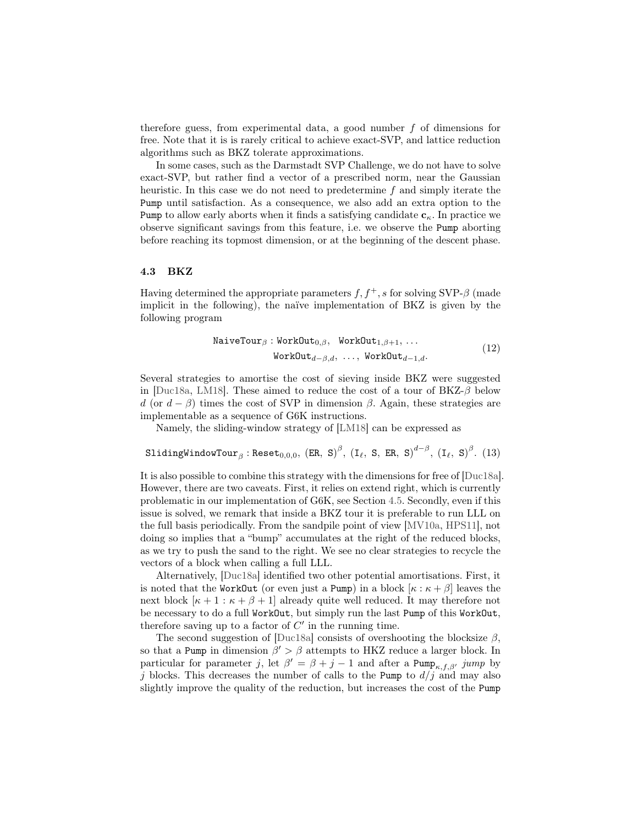therefore guess, from experimental data, a good number f of dimensions for free. Note that it is is rarely critical to achieve exact-SVP, and lattice reduction algorithms such as BKZ tolerate approximations.

In some cases, such as the Darmstadt SVP Challenge, we do not have to solve exact-SVP, but rather find a vector of a prescribed norm, near the Gaussian heuristic. In this case we do not need to predetermine f and simply iterate the Pump until satisfaction. As a consequence, we also add an extra option to the Pump to allow early aborts when it finds a satisfying candidate  $c_{\kappa}$ . In practice we observe significant savings from this feature, i.e. we observe the Pump aborting before reaching its topmost dimension, or at the beginning of the descent phase.

#### <span id="page-13-0"></span>4.3 BKZ

Having determined the appropriate parameters  $f, f^+, s$  for solving SVP- $\beta$  (made implicit in the following), the naïve implementation of BKZ is given by the following program

$$
\begin{aligned}\n\text{NaiveTour}_{\beta}: \text{WorkOut}_{0,\beta}, \quad \text{WorkOut}_{1,\beta+1}, \dots \\
&\text{WorkOut}_{d-\beta,d}, \dots, \text{WorkOut}_{d-1,d}.\n\end{aligned} \tag{12}
$$

Several strategies to amortise the cost of sieving inside BKZ were suggested in [\[Duc18a,](#page-28-7) [LM18\]](#page-29-8). These aimed to reduce the cost of a tour of  $BKZ-\beta$  below d (or  $d - \beta$ ) times the cost of SVP in dimension  $\beta$ . Again, these strategies are implementable as a sequence of G6K instructions.

Namely, the sliding-window strategy of [\[LM18\]](#page-29-8) can be expressed as

```
\texttt{SlidingWindowTour}_\beta: \texttt{Reset}_{0,0,0}, \ (\texttt{ER},\ \texttt{S})^\beta, \ (\texttt{I}_\ell,\ \texttt{S},\ \texttt{ER},\ \texttt{S})^{d-\beta}, \ (\texttt{I}_\ell,\ \texttt{S})^\beta. \tag{13}
```
It is also possible to combine this strategy with the dimensions for free of [\[Duc18a\]](#page-28-7). However, there are two caveats. First, it relies on extend right, which is currently problematic in our implementation of G6K, see Section [4.5.](#page-15-2) Secondly, even if this issue is solved, we remark that inside a BKZ tour it is preferable to run LLL on the full basis periodically. From the sandpile point of view [\[MV10a,](#page-29-13) [HPS11\]](#page-29-14), not doing so implies that a "bump" accumulates at the right of the reduced blocks, as we try to push the sand to the right. We see no clear strategies to recycle the vectors of a block when calling a full LLL.

Alternatively, [\[Duc18a\]](#page-28-7) identified two other potential amortisations. First, it is noted that the WorkOut (or even just a Pump) in a block  $[\kappa : \kappa + \beta]$  leaves the next block  $[\kappa + 1 : \kappa + \beta + 1]$  already quite well reduced. It may therefore not be necessary to do a full WorkOut, but simply run the last Pump of this WorkOut, therefore saving up to a factor of  $C'$  in the running time.

The second suggestion of [\[Duc18a\]](#page-28-7) consists of overshooting the blocksize  $\beta$ , so that a Pump in dimension  $\beta' > \beta$  attempts to HKZ reduce a larger block. In particular for parameter j, let  $\beta' = \beta + j - 1$  and after a Pump<sub> $\kappa, f, \beta'$ </sub> jump by j blocks. This decreases the number of calls to the Pump to  $d/j$  and may also slightly improve the quality of the reduction, but increases the cost of the Pump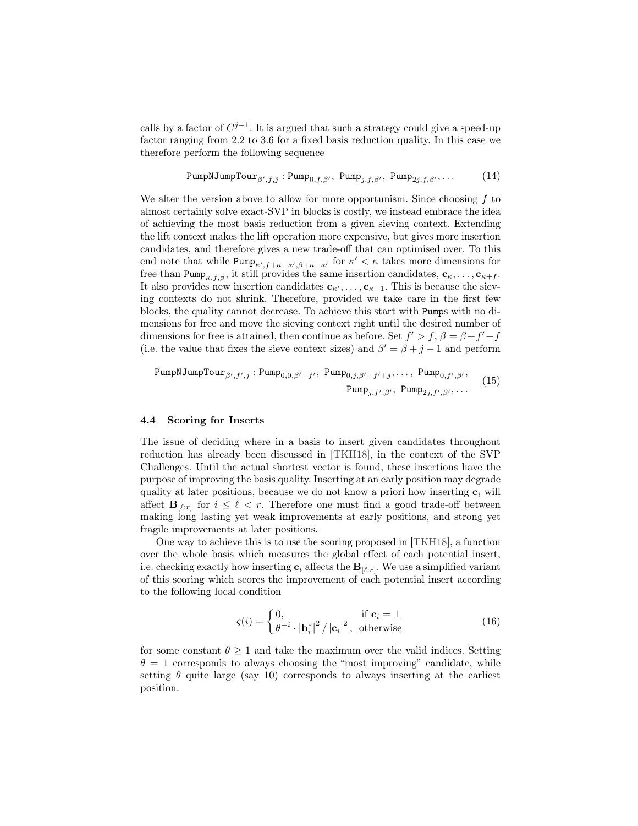calls by a factor of  $C^{j-1}$ . It is argued that such a strategy could give a speed-up factor ranging from 2.2 to 3.6 for a fixed basis reduction quality. In this case we therefore perform the following sequence

$$
\text{PumpNJumpTour}_{\beta', f, j} : \text{Pump}_{0, f, \beta'}, \text{Pump}_{j, f, \beta'}, \text{Pump}_{2j, f, \beta'}, \dots \tag{14}
$$

We alter the version above to allow for more opportunism. Since choosing  $f$  to almost certainly solve exact-SVP in blocks is costly, we instead embrace the idea of achieving the most basis reduction from a given sieving context. Extending the lift context makes the lift operation more expensive, but gives more insertion candidates, and therefore gives a new trade-off that can optimised over. To this end note that while  $\text{Pump}_{\kappa',f+\kappa-\kappa',\beta+\kappa-\kappa'}$  for  $\kappa' < \kappa$  takes more dimensions for free than Pump<sub> $\kappa, f, \beta$ </sub>, it still provides the same insertion candidates,  $c_{\kappa}, \ldots, c_{\kappa+f}$ . It also provides new insertion candidates  $c_{\kappa'}, \ldots, c_{\kappa-1}$ . This is because the sieving contexts do not shrink. Therefore, provided we take care in the first few blocks, the quality cannot decrease. To achieve this start with Pumps with no dimensions for free and move the sieving context right until the desired number of dimensions for free is attained, then continue as before. Set  $f' > f$ ,  $\beta = \beta + f' - f$ (i.e. the value that fixes the sieve context sizes) and  $\beta' = \beta + j - 1$  and perform

PumpNJumpTour
$$
\beta', f', j
$$
: Pump $0, 0, \beta'-f'$ , Pump $0, j, \beta'-f'+j$ , ..., Pump $0, f', \beta'$ ,  $(15)$ 

\nPump $j, f', \beta'$ , Pump $2j, f', \beta'$ , ...  $(15)$ 

#### <span id="page-14-0"></span>4.4 Scoring for Inserts

The issue of deciding where in a basis to insert given candidates throughout reduction has already been discussed in [\[TKH18\]](#page-30-4), in the context of the SVP Challenges. Until the actual shortest vector is found, these insertions have the purpose of improving the basis quality. Inserting at an early position may degrade quality at later positions, because we do not know a priori how inserting  $c_i$  will affect  $B_{\lbrack \ell:r \rbrack}$  for  $i \leq \ell \leq r$ . Therefore one must find a good trade-off between making long lasting yet weak improvements at early positions, and strong yet fragile improvements at later positions.

One way to achieve this is to use the scoring proposed in [\[TKH18\]](#page-30-4), a function over the whole basis which measures the global effect of each potential insert, i.e. checking exactly how inserting  $c_i$  affects the  $B_{[\ell:r]}$ . We use a simplified variant of this scoring which scores the improvement of each potential insert according to the following local condition

$$
\varsigma(i) = \begin{cases} 0, & \text{if } \mathbf{c}_i = \bot \\ \theta^{-i} \cdot |\mathbf{b}_i^*|^2 / |\mathbf{c}_i|^2, & \text{otherwise} \end{cases}
$$
(16)

for some constant  $\theta \geq 1$  and take the maximum over the valid indices. Setting  $\theta = 1$  corresponds to always choosing the "most improving" candidate, while setting  $\theta$  quite large (say 10) corresponds to always inserting at the earliest position.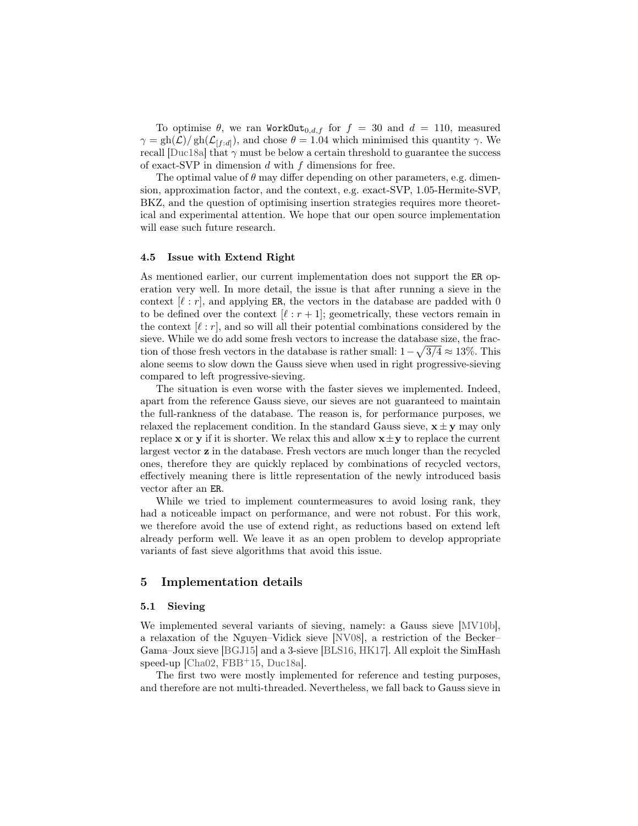To optimise  $\theta$ , we ran WorkOut<sub>0,d,f</sub> for  $f = 30$  and  $d = 110$ , measured  $\gamma = \frac{gh(\mathcal{L})}{gh(\mathcal{L}_{[f:d]})}$ , and chose  $\theta = 1.04$  which minimised this quantity  $\gamma$ . We recall [\[Duc18a\]](#page-28-7) that  $\gamma$  must be below a certain threshold to guarantee the success of exact-SVP in dimension  $d$  with  $f$  dimensions for free.

The optimal value of  $\theta$  may differ depending on other parameters, e.g. dimension, approximation factor, and the context, e.g. exact-SVP, 1.05-Hermite-SVP, BKZ, and the question of optimising insertion strategies requires more theoretical and experimental attention. We hope that our open source implementation will ease such future research.

#### <span id="page-15-2"></span>4.5 Issue with Extend Right

As mentioned earlier, our current implementation does not support the ER operation very well. In more detail, the issue is that after running a sieve in the context  $[\ell : r]$ , and applying ER, the vectors in the database are padded with 0 to be defined over the context  $[\ell : r + 1]$ ; geometrically, these vectors remain in the context  $[\ell : r]$ , and so will all their potential combinations considered by the sieve. While we do add some fresh vectors to increase the database size, the fraction of those fresh vectors in the database is rather small:  $1 - \sqrt{3/4} \approx 13\%$ . This alone seems to slow down the Gauss sieve when used in right progressive-sieving compared to left progressive-sieving.

The situation is even worse with the faster sieves we implemented. Indeed, apart from the reference Gauss sieve, our sieves are not guaranteed to maintain the full-rankness of the database. The reason is, for performance purposes, we relaxed the replacement condition. In the standard Gauss sieve,  $\mathbf{x} \pm \mathbf{y}$  may only replace **x** or **y** if it is shorter. We relax this and allow  $\mathbf{x} \pm \mathbf{y}$  to replace the current largest vector z in the database. Fresh vectors are much longer than the recycled ones, therefore they are quickly replaced by combinations of recycled vectors, effectively meaning there is little representation of the newly introduced basis vector after an ER.

While we tried to implement countermeasures to avoid losing rank, they had a noticeable impact on performance, and were not robust. For this work, we therefore avoid the use of extend right, as reductions based on extend left already perform well. We leave it as an open problem to develop appropriate variants of fast sieve algorithms that avoid this issue.

## <span id="page-15-0"></span>5 Implementation details

#### <span id="page-15-1"></span>5.1 Sieving

We implemented several variants of sieving, namely: a Gauss sieve [\[MV10b\]](#page-30-0), a relaxation of the Nguyen–Vidick sieve [\[NV08\]](#page-30-8), a restriction of the Becker– Gama–Joux sieve [\[BGJ15\]](#page-28-1) and a 3-sieve [\[BLS16,](#page-28-12) [HK17\]](#page-29-0). All exploit the SimHash speed-up [\[Cha02,](#page-28-8) [FBB](#page-28-9)<sup>+</sup>15, [Duc18a\]](#page-28-7).

The first two were mostly implemented for reference and testing purposes, and therefore are not multi-threaded. Nevertheless, we fall back to Gauss sieve in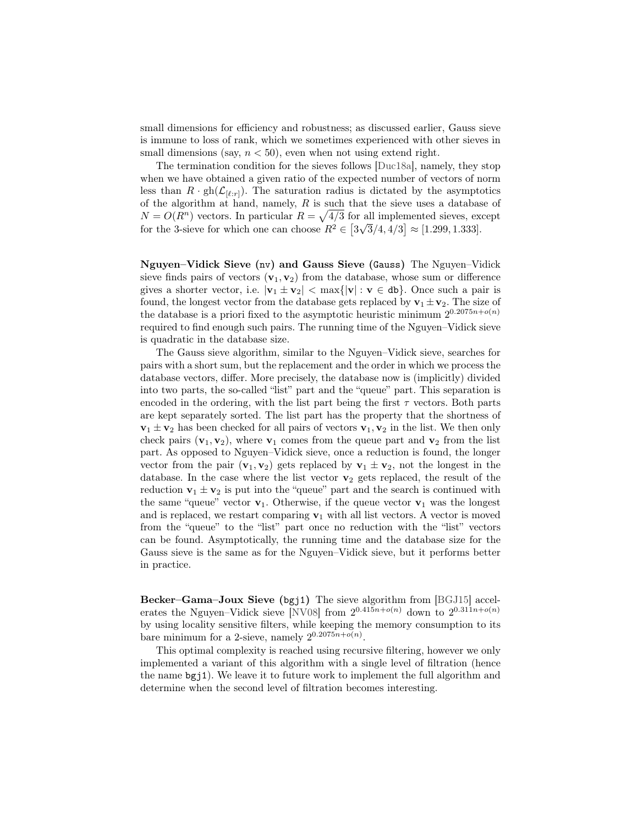small dimensions for efficiency and robustness; as discussed earlier, Gauss sieve is immune to loss of rank, which we sometimes experienced with other sieves in small dimensions (say,  $n < 50$ ), even when not using extend right.

The termination condition for the sieves follows [\[Duc18a\]](#page-28-7), namely, they stop when we have obtained a given ratio of the expected number of vectors of norm less than  $R \cdot \text{gh}(\mathcal{L}_{[\ell:r]})$ . The saturation radius is dictated by the asymptotics of the algorithm at hand, namely,  $R$  is such that the sieve uses a database of  $N = O(R^n)$  vectors. In particular  $R = \sqrt{4/3}$  for all implemented sieves, except for the 3-sieve for which one can choose  $R^2 \in [3\sqrt{3}/4, 4/3] \approx [1.299, 1.333]$ .

Nguyen–Vidick Sieve (nv) and Gauss Sieve (Gauss) The Nguyen–Vidick sieve finds pairs of vectors  $(v_1, v_2)$  from the database, whose sum or difference gives a shorter vector, i.e.  $|\mathbf{v}_1 \pm \mathbf{v}_2| < \max\{|\mathbf{v}| : \mathbf{v} \in \mathbf{d}\mathbf{b}\}\)$ . Once such a pair is found, the longest vector from the database gets replaced by  $\mathbf{v}_1 \pm \mathbf{v}_2$ . The size of the database is a priori fixed to the asymptotic heuristic minimum  $2^{0.2075n+o(n)}$ required to find enough such pairs. The running time of the Nguyen–Vidick sieve is quadratic in the database size.

The Gauss sieve algorithm, similar to the Nguyen–Vidick sieve, searches for pairs with a short sum, but the replacement and the order in which we process the database vectors, differ. More precisely, the database now is (implicitly) divided into two parts, the so-called "list" part and the "queue" part. This separation is encoded in the ordering, with the list part being the first  $\tau$  vectors. Both parts are kept separately sorted. The list part has the property that the shortness of  $v_1 \pm v_2$  has been checked for all pairs of vectors  $v_1, v_2$  in the list. We then only check pairs  $(v_1, v_2)$ , where  $v_1$  comes from the queue part and  $v_2$  from the list part. As opposed to Nguyen–Vidick sieve, once a reduction is found, the longer vector from the pair  $(v_1, v_2)$  gets replaced by  $v_1 \pm v_2$ , not the longest in the database. In the case where the list vector  $\mathbf{v}_2$  gets replaced, the result of the reduction  $\mathbf{v}_1 \pm \mathbf{v}_2$  is put into the "queue" part and the search is continued with the same "queue" vector  $v_1$ . Otherwise, if the queue vector  $v_1$  was the longest and is replaced, we restart comparing  $v_1$  with all list vectors. A vector is moved from the "queue" to the "list" part once no reduction with the "list" vectors can be found. Asymptotically, the running time and the database size for the Gauss sieve is the same as for the Nguyen–Vidick sieve, but it performs better in practice.

Becker–Gama–Joux Sieve (bgj1) The sieve algorithm from [\[BGJ15\]](#page-28-1) accel-erates the Nguyen–Vidick sieve [\[NV08\]](#page-30-8) from  $2^{0.415n+o(n)}$  down to  $2^{0.311n+o(n)}$ by using locality sensitive filters, while keeping the memory consumption to its bare minimum for a 2-sieve, namely  $2^{0.2075n + o(n)}$ .

This optimal complexity is reached using recursive filtering, however we only implemented a variant of this algorithm with a single level of filtration (hence the name bgj1). We leave it to future work to implement the full algorithm and determine when the second level of filtration becomes interesting.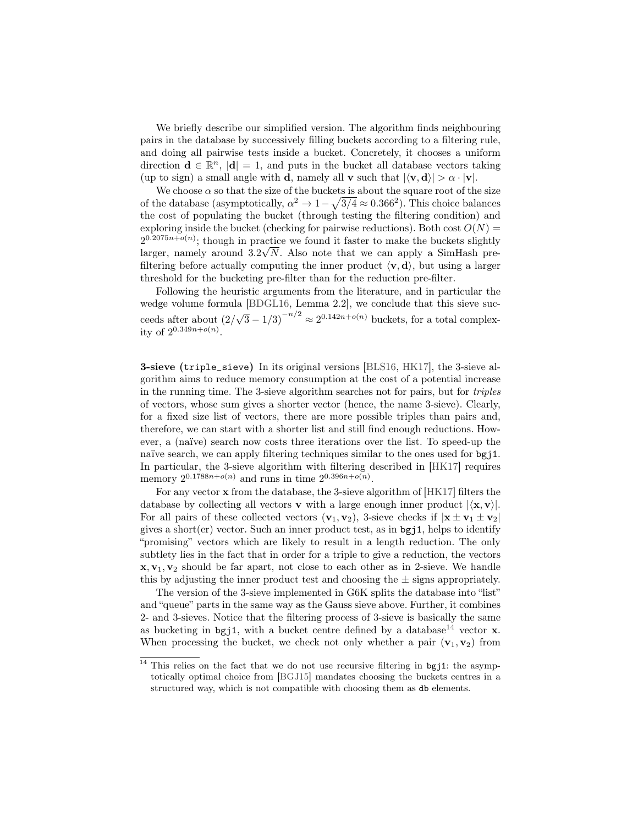We briefly describe our simplified version. The algorithm finds neighbouring pairs in the database by successively filling buckets according to a filtering rule, and doing all pairwise tests inside a bucket. Concretely, it chooses a uniform direction  $\mathbf{d} \in \mathbb{R}^n$ ,  $|\mathbf{d}| = 1$ , and puts in the bucket all database vectors taking (up to sign) a small angle with **d**, namely all **v** such that  $|\langle v, d \rangle| > \alpha \cdot |v|$ .

We choose  $\alpha$  so that the size of the buckets is about the square root of the size of the database (asymptotically,  $\alpha^2 \to 1-\sqrt{3/4} \approx 0.366^2$ ). This choice balances the cost of populating the bucket (through testing the filtering condition) and exploring inside the bucket (checking for pairwise reductions). Both cost  $O(N)$  =  $2^{0.2075n+o(n)}$ ; though in practice we found it faster to make the buckets slightly larger, namely around  $3.2\sqrt{N}$ . Also note that we can apply a SimHash prefiltering before actually computing the inner product  $\langle v, d \rangle$ , but using a larger threshold for the bucketing pre-filter than for the reduction pre-filter.

Following the heuristic arguments from the literature, and in particular the wedge volume formula [\[BDGL16,](#page-28-2) Lemma 2.2], we conclude that this sieve succeeds after about (2/  $\sqrt{3} - 1/3$ <sup>-n/2</sup>  $\approx 2^{0.142n + o(n)}$  buckets, for a total complexity of  $2^{0.349n + o(n)}$ .

3-sieve (triple\_sieve) In its original versions [\[BLS16,](#page-28-12) [HK17\]](#page-29-0), the 3-sieve algorithm aims to reduce memory consumption at the cost of a potential increase in the running time. The 3-sieve algorithm searches not for pairs, but for triples of vectors, whose sum gives a shorter vector (hence, the name 3-sieve). Clearly, for a fixed size list of vectors, there are more possible triples than pairs and, therefore, we can start with a shorter list and still find enough reductions. However, a (naïve) search now costs three iterations over the list. To speed-up the naïve search, we can apply filtering techniques similar to the ones used for bgj1. In particular, the 3-sieve algorithm with filtering described in [\[HK17\]](#page-29-0) requires memory  $2^{0.1788n + o(n)}$  and runs in time  $2^{0.396n + o(n)}$ .

For any vector x from the database, the 3-sieve algorithm of [\[HK17\]](#page-29-0) filters the database by collecting all vectors **v** with a large enough inner product  $|\langle \mathbf{x}, \mathbf{v} \rangle|$ . For all pairs of these collected vectors  $(v_1, v_2)$ , 3-sieve checks if  $|x \pm v_1 \pm v_2|$ gives a short $(er)$  vector. Such an inner product test, as in  $bgj1$ , helps to identify "promising" vectors which are likely to result in a length reduction. The only subtlety lies in the fact that in order for a triple to give a reduction, the vectors  $x, v_1, v_2$  should be far apart, not close to each other as in 2-sieve. We handle this by adjusting the inner product test and choosing the  $\pm$  signs appropriately.

The version of the 3-sieve implemented in G6K splits the database into "list" and "queue" parts in the same way as the Gauss sieve above. Further, it combines 2- and 3-sieves. Notice that the filtering process of 3-sieve is basically the same as bucketing in bgj1, with a bucket centre defined by a database<sup>[14](#page-17-0)</sup> vector **x**. When processing the bucket, we check not only whether a pair  $(v_1, v_2)$  from

<span id="page-17-0"></span><sup>&</sup>lt;sup>14</sup> This relies on the fact that we do not use recursive filtering in bgj1: the asymptotically optimal choice from [\[BGJ15\]](#page-28-1) mandates choosing the buckets centres in a structured way, which is not compatible with choosing them as db elements.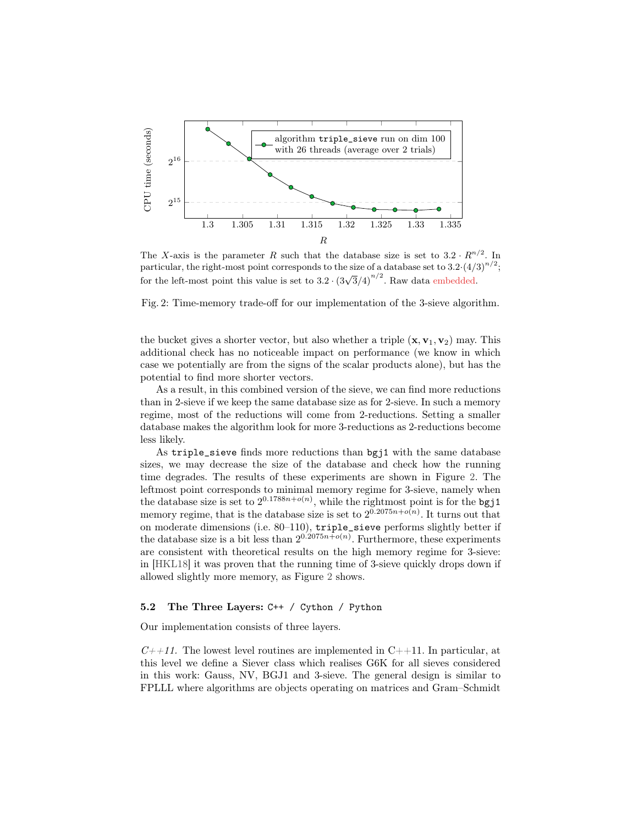<span id="page-18-0"></span>

The X-axis is the parameter R such that the database size is set to  $3.2 \cdot R^{n/2}$ . In particular, the right-most point corresponds to the size of a database set to  $3.2 \cdot (4/3)^{n/2}$ ; for the left-most point this value is set to  $3.2 \cdot (3\sqrt{3}/4)^{n/2}$ . Raw data embedded.

Fig. 2: Time-memory trade-off for our implementation of the 3-sieve algorithm.

the bucket gives a shorter vector, but also whether a triple  $(x, v_1, v_2)$  may. This additional check has no noticeable impact on performance (we know in which case we potentially are from the signs of the scalar products alone), but has the potential to find more shorter vectors.

As a result, in this combined version of the sieve, we can find more reductions than in 2-sieve if we keep the same database size as for 2-sieve. In such a memory regime, most of the reductions will come from 2-reductions. Setting a smaller database makes the algorithm look for more 3-reductions as 2-reductions become less likely.

As triple\_sieve finds more reductions than bgj1 with the same database sizes, we may decrease the size of the database and check how the running time degrades. The results of these experiments are shown in Figure [2.](#page-18-0) The leftmost point corresponds to minimal memory regime for 3-sieve, namely when the database size is set to  $2^{0.1788n+o(n)}$ , while the rightmost point is for the bgj1 memory regime, that is the database size is set to  $2^{0.2075n+o(n)}$ . It turns out that on moderate dimensions (i.e. 80–110), triple\_sieve performs slightly better if the database size is a bit less than  $2^{0.2075n+o(n)}$ . Furthermore, these experiments are consistent with theoretical results on the high memory regime for 3-sieve: in [\[HKL18\]](#page-29-15) it was proven that the running time of 3-sieve quickly drops down if allowed slightly more memory, as Figure [2](#page-18-0) shows.

## 5.2 The Three Layers: C++ / Cython / Python

Our implementation consists of three layers.

 $C++11$ . The lowest level routines are implemented in  $C++11$ . In particular, at this level we define a Siever class which realises G6K for all sieves considered in this work: Gauss, NV, BGJ1 and 3-sieve. The general design is similar to FPLLL where algorithms are objects operating on matrices and Gram–Schmidt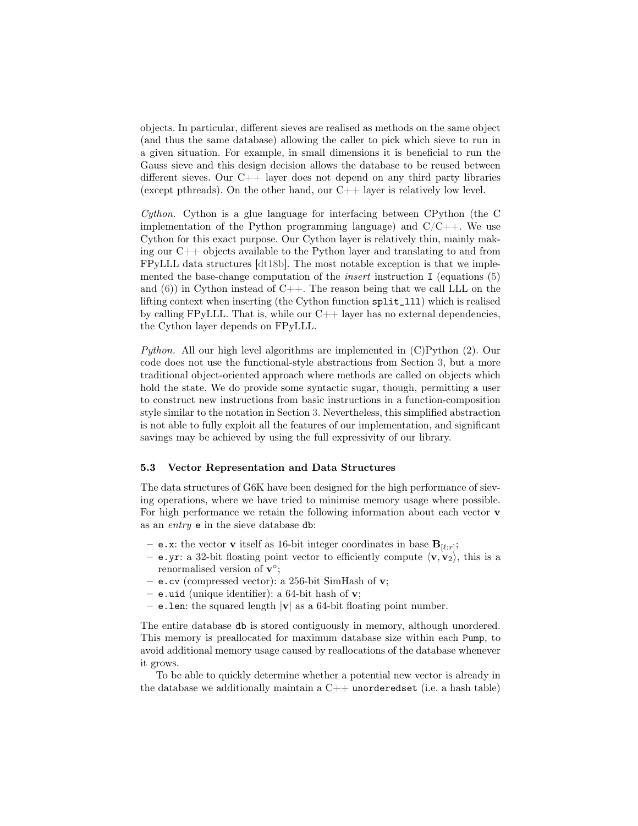objects. In particular, different sieves are realised as methods on the same object (and thus the same database) allowing the caller to pick which sieve to run in a given situation. For example, in small dimensions it is beneficial to run the Gauss sieve and this design decision allows the database to be reused between different sieves. Our  $C_{++}$  layer does not depend on any third party libraries (except pthreads). On the other hand, our  $C++$  layer is relatively low level.

Cython. Cython is a glue language for interfacing between CPython (the C implementation of the Python programming language) and  $C/C++$ . We use Cython for this exact purpose. Our Cython layer is relatively thin, mainly making our C++ objects available to the Python layer and translating to and from FPyLLL data structures [\[dt18b\]](#page-28-5). The most notable exception is that we implemented the base-change computation of the *insert* instruction I (equations  $(5)$ ) and  $(6)$ ) in Cython instead of C++. The reason being that we call LLL on the lifting context when inserting (the Cython function split\_lll) which is realised by calling FPyLLL. That is, while our  $C++$  layer has no external dependencies, the Cython layer depends on FPyLLL.

Python. All our high level algorithms are implemented in (C)Python (2). Our code does not use the functional-style abstractions from Section [3,](#page-7-0) but a more traditional object-oriented approach where methods are called on objects which hold the state. We do provide some syntactic sugar, though, permitting a user to construct new instructions from basic instructions in a function-composition style similar to the notation in Section [3.](#page-7-0) Nevertheless, this simplified abstraction is not able to fully exploit all the features of our implementation, and significant savings may be achieved by using the full expressivity of our library.

#### 5.3 Vector Representation and Data Structures

The data structures of G6K have been designed for the high performance of sieving operations, where we have tried to minimise memory usage where possible. For high performance we retain the following information about each vector v as an entry e in the sieve database db:

- **e**.x: the vector **v** itself as 16-bit integer coordinates in base  $\mathbf{B}_{[\ell:r]}$ ;
- e.yr: a 32-bit floating point vector to efficiently compute  $\langle v, v_2 \rangle$ , this is a renormalised version of  $\mathbf{v}^{\circ}$ ;
- e.cv (compressed vector): a 256-bit SimHash of v;
- e.uid (unique identifier): a 64-bit hash of  $v$ ;
- e.len: the squared length  $|v|$  as a 64-bit floating point number.

The entire database db is stored contiguously in memory, although unordered. This memory is preallocated for maximum database size within each Pump, to avoid additional memory usage caused by reallocations of the database whenever it grows.

To be able to quickly determine whether a potential new vector is already in the database we additionally maintain a  $C++$  unorderedset (i.e. a hash table)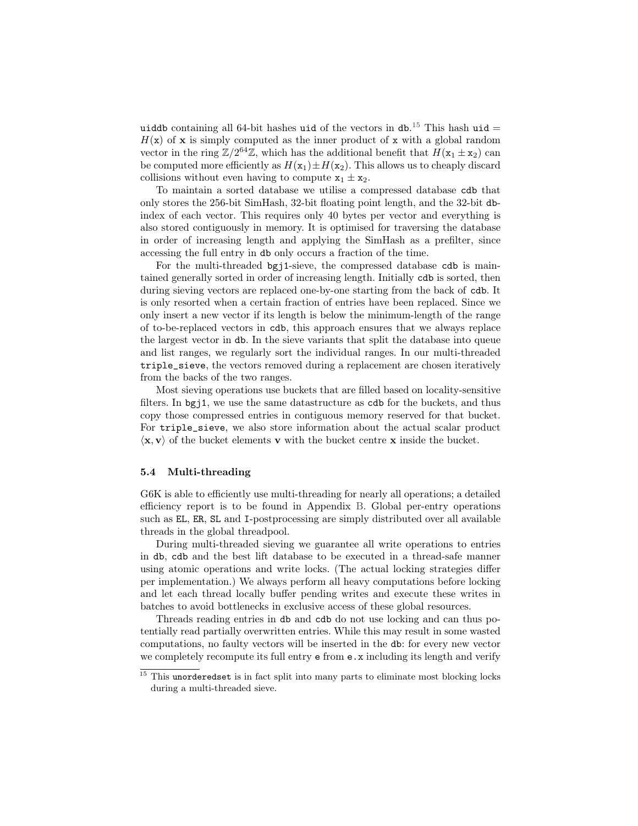uiddb containing all 64-bit hashes uid of the vectors in  $db$ .<sup>[15](#page-20-0)</sup> This hash uid =  $H(x)$  of x is simply computed as the inner product of x with a global random vector in the ring  $\mathbb{Z}/2^{64}\mathbb{Z}$ , which has the additional benefit that  $H(\mathbf{x}_1 \pm \mathbf{x}_2)$  can be computed more efficiently as  $H(\mathbf{x}_1) \pm H(\mathbf{x}_2)$ . This allows us to cheaply discard collisions without even having to compute  $x_1 \pm x_2$ .

To maintain a sorted database we utilise a compressed database cdb that only stores the 256-bit SimHash, 32-bit floating point length, and the 32-bit dbindex of each vector. This requires only 40 bytes per vector and everything is also stored contiguously in memory. It is optimised for traversing the database in order of increasing length and applying the SimHash as a prefilter, since accessing the full entry in db only occurs a fraction of the time.

For the multi-threaded bgj1-sieve, the compressed database cdb is maintained generally sorted in order of increasing length. Initially cdb is sorted, then during sieving vectors are replaced one-by-one starting from the back of cdb. It is only resorted when a certain fraction of entries have been replaced. Since we only insert a new vector if its length is below the minimum-length of the range of to-be-replaced vectors in cdb, this approach ensures that we always replace the largest vector in db. In the sieve variants that split the database into queue and list ranges, we regularly sort the individual ranges. In our multi-threaded triple\_sieve, the vectors removed during a replacement are chosen iteratively from the backs of the two ranges.

Most sieving operations use buckets that are filled based on locality-sensitive filters. In bgj1, we use the same datastructure as cdb for the buckets, and thus copy those compressed entries in contiguous memory reserved for that bucket. For triple\_sieve, we also store information about the actual scalar product  $\langle \mathbf{x}, \mathbf{v} \rangle$  of the bucket elements **v** with the bucket centre **x** inside the bucket.

#### 5.4 Multi-threading

G6K is able to efficiently use multi-threading for nearly all operations; a detailed efficiency report is to be found in Appendix [B.](#page-32-0) Global per-entry operations such as EL, ER, SL and I-postprocessing are simply distributed over all available threads in the global threadpool.

During multi-threaded sieving we guarantee all write operations to entries in db, cdb and the best lift database to be executed in a thread-safe manner using atomic operations and write locks. (The actual locking strategies differ per implementation.) We always perform all heavy computations before locking and let each thread locally buffer pending writes and execute these writes in batches to avoid bottlenecks in exclusive access of these global resources.

Threads reading entries in db and cdb do not use locking and can thus potentially read partially overwritten entries. While this may result in some wasted computations, no faulty vectors will be inserted in the db: for every new vector we completely recompute its full entry e from e.x including its length and verify

<span id="page-20-0"></span> $15$  This unorderedset is in fact split into many parts to eliminate most blocking locks during a multi-threaded sieve.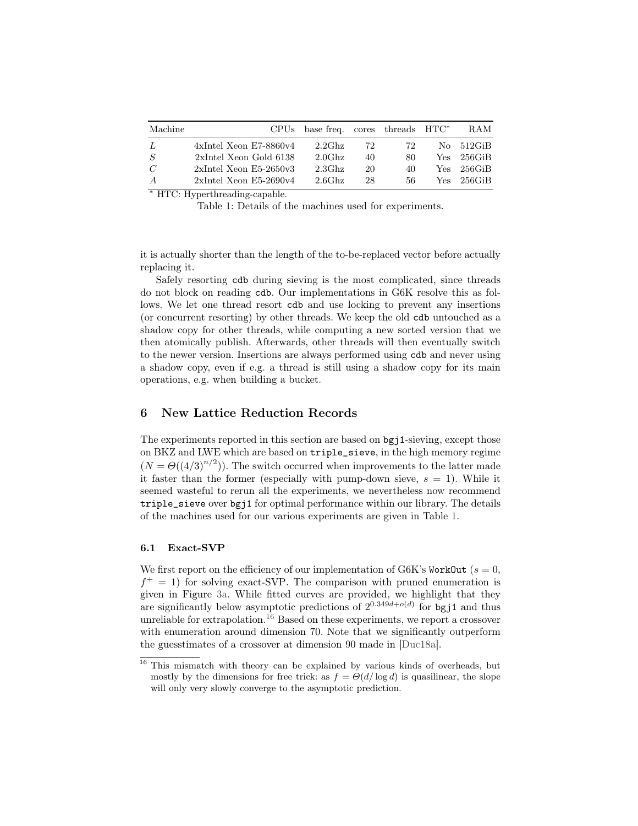<span id="page-21-1"></span>

| Machine       | <b>CPUs</b>                  | base freq. cores threads $HTC^*$ |    |     |       | RAM        |
|---------------|------------------------------|----------------------------------|----|-----|-------|------------|
| $\frac{1}{2}$ | $4x$ Intel Xeon E7-8860 $v4$ | $2.2G$ hz                        | 72 | 72  |       | No 512GiB  |
| $\cdot S$     | 2xIntel Xeon Gold 6138       | $2.0$ Ghz                        | 40 | 80  | Yes.  | – 256GiB   |
| $\mathcal{C}$ | $2x$ Intel Xeon E5-2650v3    | $2.3G$ hz                        | 20 | 40  | Yes . | – 256GiB   |
| A             | $2x$ Intel Xeon E5-2690 $v4$ | $2.6G$ hz                        | 28 | 56. |       | Yes 256GiB |

<sup>∗</sup> HTC: Hyperthreading-capable.

Table 1: Details of the machines used for experiments.

it is actually shorter than the length of the to-be-replaced vector before actually replacing it.

Safely resorting cdb during sieving is the most complicated, since threads do not block on reading cdb. Our implementations in G6K resolve this as follows. We let one thread resort cdb and use locking to prevent any insertions (or concurrent resorting) by other threads. We keep the old cdb untouched as a shadow copy for other threads, while computing a new sorted version that we then atomically publish. Afterwards, other threads will then eventually switch to the newer version. Insertions are always performed using cdb and never using a shadow copy, even if e.g. a thread is still using a shadow copy for its main operations, e.g. when building a bucket.

# <span id="page-21-0"></span>6 New Lattice Reduction Records

The experiments reported in this section are based on bgj1-sieving, except those on BKZ and LWE which are based on triple\_sieve, in the high memory regime  $(N = \Theta((4/3)^{n/2})$ ). The switch occurred when improvements to the latter made it faster than the former (especially with pump-down sieve,  $s = 1$ ). While it seemed wasteful to rerun all the experiments, we nevertheless now recommend triple\_sieve over bgj1 for optimal performance within our library. The details of the machines used for our various experiments are given in Table [1.](#page-21-1)

## 6.1 Exact-SVP

We first report on the efficiency of our implementation of G6K's WorkOut ( $s = 0$ ,  $f^+=1$ ) for solving exact-SVP. The comparison with pruned enumeration is given in Figure [3a.](#page-22-0) While fitted curves are provided, we highlight that they are significantly below asymptotic predictions of  $2^{0.349d + o(d)}$  for bgj1 and thus unreliable for extrapolation.<sup>[16](#page-21-2)</sup> Based on these experiments, we report a crossover with enumeration around dimension 70. Note that we significantly outperform the guesstimates of a crossover at dimension 90 made in [\[Duc18a\]](#page-28-7).

<span id="page-21-2"></span><sup>&</sup>lt;sup>16</sup> This mismatch with theory can be explained by various kinds of overheads, but mostly by the dimensions for free trick: as  $f = \Theta(d/\log d)$  is quasilinear, the slope will only very slowly converge to the asymptotic prediction.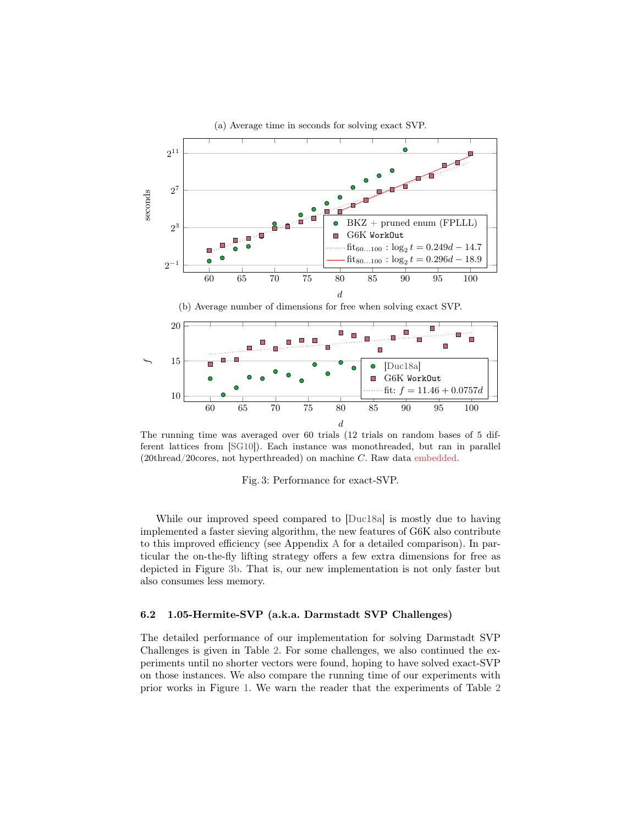<span id="page-22-0"></span>

(a) Average time in seconds for solving exact SVP.

The running time was averaged over 60 trials (12 trials on random bases of 5 different lattices from [\[SG10\]](#page-30-1)). Each instance was monothreaded, but ran in parallel  $(20thread/20cores, not hyperthreaded)$  on machine C. Raw data embedded.

Fig. 3: Performance for exact-SVP.

While our improved speed compared to [\[Duc18a\]](#page-28-7) is mostly due to having implemented a faster sieving algorithm, the new features of G6K also contribute to this improved efficiency (see Appendix [A](#page-30-6) for a detailed comparison). In particular the on-the-fly lifting strategy offers a few extra dimensions for free as depicted in Figure [3b.](#page-22-0) That is, our new implementation is not only faster but also consumes less memory.

## 6.2 1.05-Hermite-SVP (a.k.a. Darmstadt SVP Challenges)

The detailed performance of our implementation for solving Darmstadt SVP Challenges is given in Table [2.](#page-23-0) For some challenges, we also continued the experiments until no shorter vectors were found, hoping to have solved exact-SVP on those instances. We also compare the running time of our experiments with prior works in Figure [1.](#page-2-0) We warn the reader that the experiments of Table [2](#page-23-0)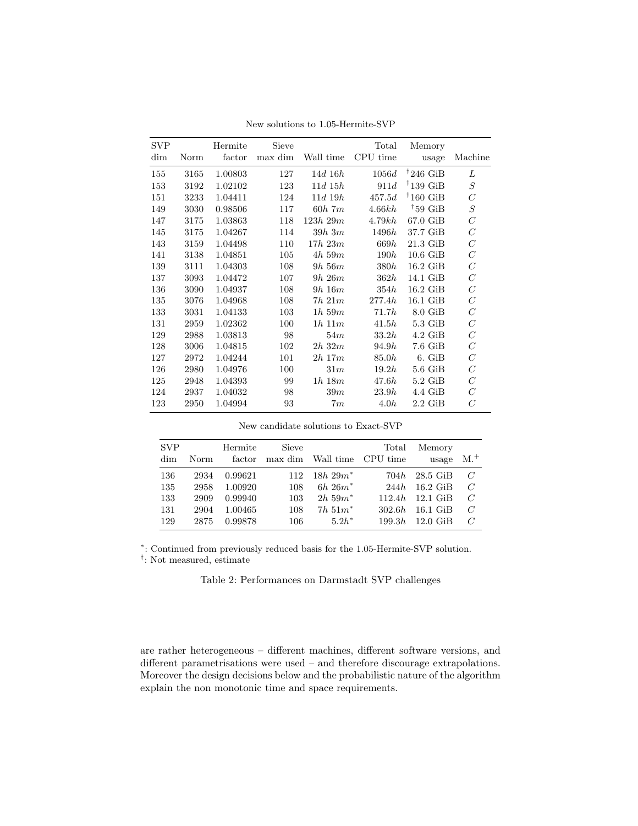<span id="page-23-0"></span>

| <b>SVP</b> |      | Hermite | Sieve   |              | Total    | Memory                |                |
|------------|------|---------|---------|--------------|----------|-----------------------|----------------|
| dim        | Norm | factor  | max dim | Wall time    | CPU time | usage                 | Machine        |
| 155        | 3165 | 1.00803 | 127     | $14d$ 16 $h$ | 1056d    | $\rm ^{†}246$ GiB     | L              |
| 153        | 3192 | 1.02102 | 123     | $11d$ 15 $h$ | 911d     | $\rm ^{†}139$ GiB     | $\cal S$       |
| 151        | 3233 | 1.04411 | 124     | $11d$ 19 $h$ | 457.5d   | $^{\dagger}160\;$ GiB | $\overline{C}$ |
| 149        | 3030 | 0.98506 | 117     | $60h$ 7 $m$  | 4.66kh   | $\rm ^{†}59$ GiB      | $\cal S$       |
| 147        | 3175 | 1.03863 | 118     | 123h 29m     | 4.79kh   | 67.0 GiB              | $\,C$          |
| 145        | 3175 | 1.04267 | 114     | $39h\,3m$    | 1496h    | 37.7 GiB              | C              |
| 143        | 3159 | 1.04498 | 110     | $17h$ $23m$  | 669h     | $21.3\text{ GiB}$     | $\,C$          |
| 141        | 3138 | 1.04851 | 105     | $4h\,59m$    | 190h     | $10.6\text{ GiB}$     | $\,C$          |
| 139        | 3111 | 1.04303 | 108     | $9h\,56m$    | 380h     | $16.2\text{ GiB}$     | $\,C$          |
| 137        | 3093 | 1.04472 | 107     | $9h\ 26m$    | 362h     | $14.1\text{ GiB}$     | $\,C$          |
| 136        | 3090 | 1.04937 | 108     | $9h\ 16m$    | 354h     | $16.2\text{ GiB}$     | $\,C$          |
| 135        | 3076 | 1.04968 | 108     | $7h\ 21m$    | 277.4h   | $16.1\text{ GiB}$     | $\,C$          |
| 133        | 3031 | 1.04133 | 103     | $1h\,59m$    | 71.7h    | $8.0\text{ GiB}$      | $\,C$          |
| 131        | 2959 | 1.02362 | 100     | $1h\ 11m$    | 41.5h    | $5.3\text{ GiB}$      | $\,C$          |
| 129        | 2988 | 1.03813 | 98      | 54m          | 33.2h    | $4.2\text{ GiB}$      | $\,C$          |
| 128        | 3006 | 1.04815 | 102     | $2h\;32m$    | 94.9h    | $7.6\text{ GiB}$      | $\,$ $\,$      |
| 127        | 2972 | 1.04244 | 101     | $2h$ 17 $m$  | 85.0h    | $6.$ GiB              | $\,C$          |
| 126        | 2980 | 1.04976 | 100     | 31m          | 19.2h    | $5.6\;$ GiB           | $\,$ $\,$      |
| 125        | 2948 | 1.04393 | 99      | $1h\ 18m$    | 47.6h    | $5.2\text{ GiB}$      | $\,C$          |
| 124        | 2937 | 1.04032 | 98      | 39m          | 23.9h    | $4.4\,$ GiB           | $\,C$          |
| 123        | 2950 | 1.04994 | 93      | 7m           | 4.0h     | $2.2\text{ GiB}$      | C              |

New solutions to 1.05-Hermite-SVP

New candidate solutions to Exact-SVP

| <b>SVP</b><br>dim | Norm | Hermite<br>factor | <b>Sieve</b><br>max dim | Wall time   | Total<br>CPU time | Memory<br>usage | $M+$         |
|-------------------|------|-------------------|-------------------------|-------------|-------------------|-----------------|--------------|
| 136               | 2934 | 0.99621           | 112                     | $18h 29m^*$ | 704h              | 28.5 GiB        | $\mathcal C$ |
| 135               | 2958 | 1.00920           | 108                     | $6h 26m^*$  | 244 <i>h</i>      | $16.2$ GiB      | $\mathcal C$ |
| 133               | 2909 | 0.99940           | 103                     | $2h,59m^*$  | 112.4h            | $12.1$ GiB      | $\mathcal C$ |
| 131               | 2904 | 1.00465           | 108                     | $7h, 51m^*$ | 302.6h            | 16.1 GiB        | $\mathcal C$ |
| 129               | 2875 | 0.99878           | 106                     | $5.2h*$     | 199.3h            | $12.0$ GiB      | $\mathcal C$ |

∗ : Continued from previously reduced basis for the 1.05-Hermite-SVP solution.

† : Not measured, estimate

Table 2: Performances on Darmstadt SVP challenges

are rather heterogeneous – different machines, different software versions, and different parametrisations were used – and therefore discourage extrapolations. Moreover the design decisions below and the probabilistic nature of the algorithm explain the non monotonic time and space requirements.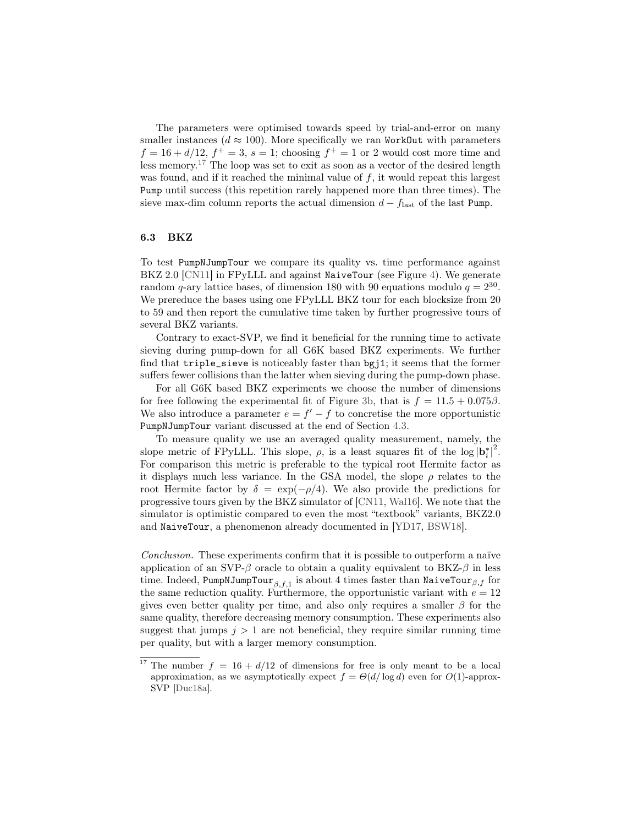The parameters were optimised towards speed by trial-and-error on many smaller instances ( $d \approx 100$ ). More specifically we ran WorkOut with parameters  $f = 16 + d/12$ ,  $f^+ = 3$ ,  $s = 1$ ; choosing  $f^+ = 1$  or 2 would cost more time and less memory.[17](#page-24-0) The loop was set to exit as soon as a vector of the desired length was found, and if it reached the minimal value of  $f$ , it would repeat this largest Pump until success (this repetition rarely happened more than three times). The sieve max-dim column reports the actual dimension  $d - f_{\text{last}}$  of the last Pump.

#### 6.3 BKZ

To test PumpNJumpTour we compare its quality vs. time performance against BKZ 2.0 [\[CN11\]](#page-28-6) in FPyLLL and against NaiveTour (see Figure [4\)](#page-25-0). We generate random q-ary lattice bases, of dimension 180 with 90 equations modulo  $q = 2^{30}$ . We prereduce the bases using one FPyLLL BKZ tour for each blocksize from 20 to 59 and then report the cumulative time taken by further progressive tours of several BKZ variants.

Contrary to exact-SVP, we find it beneficial for the running time to activate sieving during pump-down for all G6K based BKZ experiments. We further find that triple\_sieve is noticeably faster than bgj1; it seems that the former suffers fewer collisions than the latter when sieving during the pump-down phase.

For all G6K based BKZ experiments we choose the number of dimensions for free following the experimental fit of Figure [3b,](#page-22-0) that is  $f = 11.5 + 0.075\beta$ . We also introduce a parameter  $e = f' - f$  to concretise the more opportunistic PumpNJumpTour variant discussed at the end of Section [4.3.](#page-13-0)

To measure quality we use an averaged quality measurement, namely, the slope metric of FPyLLL. This slope,  $\rho$ , is a least squares fit of the log  $|\mathbf{b}_i^*|^2$ . For comparison this metric is preferable to the typical root Hermite factor as it displays much less variance. In the GSA model, the slope  $\rho$  relates to the root Hermite factor by  $\delta = \exp(-\rho/4)$ . We also provide the predictions for progressive tours given by the BKZ simulator of [\[CN11,](#page-28-6) [Wal16\]](#page-30-12). We note that the simulator is optimistic compared to even the most "textbook" variants, BKZ2.0 and NaiveTour, a phenomenon already documented in [\[YD17,](#page-30-11) [BSW18\]](#page-28-13).

Conclusion. These experiments confirm that it is possible to outperform a naïve application of an SVP- $\beta$  oracle to obtain a quality equivalent to BKZ- $\beta$  in less time. Indeed, <code>PumpNJumpTour</code>  $_{\beta,f,1}$  is about 4 times faster than <code>NaiveTour</code>  $_{\beta,f}$  for the same reduction quality. Furthermore, the opportunistic variant with  $e = 12$ gives even better quality per time, and also only requires a smaller  $\beta$  for the same quality, therefore decreasing memory consumption. These experiments also suggest that jumps  $j > 1$  are not beneficial, they require similar running time per quality, but with a larger memory consumption.

<span id="page-24-0"></span><sup>&</sup>lt;sup>17</sup> The number  $f = 16 + d/12$  of dimensions for free is only meant to be a local approximation, as we asymptotically expect  $f = \Theta(d/\log d)$  even for  $O(1)$ -approx-SVP [\[Duc18a\]](#page-28-7).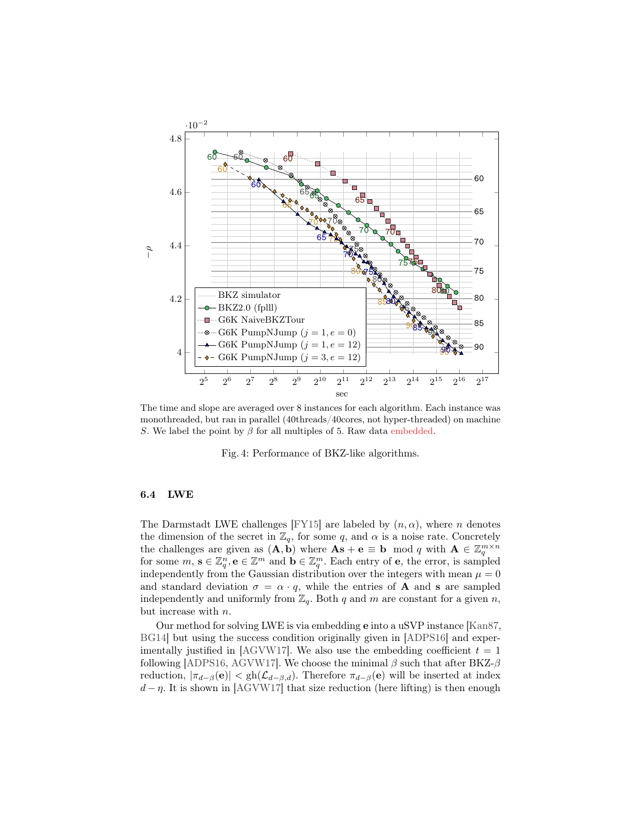<span id="page-25-0"></span>

The time and slope are averaged over 8 instances for each algorithm. Each instance was monothreaded, but ran in parallel (40threads/40cores, not hyper-threaded) on machine S. We label the point by  $\beta$  for all multiples of 5. Raw data embedded.

Fig. 4: Performance of BKZ-like algorithms.

#### 6.4 LWE

The Darmstadt LWE challenges [\[FY15\]](#page-29-4) are labeled by  $(n, \alpha)$ , where n denotes the dimension of the secret in  $\mathbb{Z}_q$ , for some q, and  $\alpha$  is a noise rate. Concretely the challenges are given as  $(\mathbf{A}, \dot{\mathbf{b}})$  where  $\mathbf{A}\mathbf{s} + \mathbf{e} \equiv \mathbf{b} \mod q$  with  $\mathbf{A} \in \mathbb{Z}_q^{m \times n}$  for some  $m, \mathbf{s} \in \mathbb{Z}_q^m, \mathbf{e} \in \mathbb{Z}^m$  and  $\mathbf{b} \in \mathbb{Z}_q^m$ . Each entry of  $\mathbf{e}$ , the error, is independently from the Gaussian distribution over the integers with mean  $\mu = 0$ and standard deviation  $\sigma = \alpha \cdot q$ , while the entries of **A** and **s** are sampled independently and uniformly from  $\mathbb{Z}_q$ . Both q and m are constant for a given n, but increase with n.

Our method for solving LWE is via embedding e into a uSVP instance [\[Kan87,](#page-29-16) [BG14\]](#page-28-14) but using the success condition originally given in [\[ADPS16\]](#page-27-0) and exper-imentally justified in [\[AGVW17\]](#page-27-1). We also use the embedding coefficient  $t = 1$ following [\[ADPS16,](#page-27-0) [AGVW17\]](#page-27-1). We choose the minimal  $\beta$  such that after BKZ- $\beta$ reduction,  $|\pi_{d-\beta}(e)| < gh(\mathcal{L}_{d-\beta,d})$ . Therefore  $\pi_{d-\beta}(e)$  will be inserted at index  $d - \eta$ . It is shown in [\[AGVW17\]](#page-27-1) that size reduction (here lifting) is then enough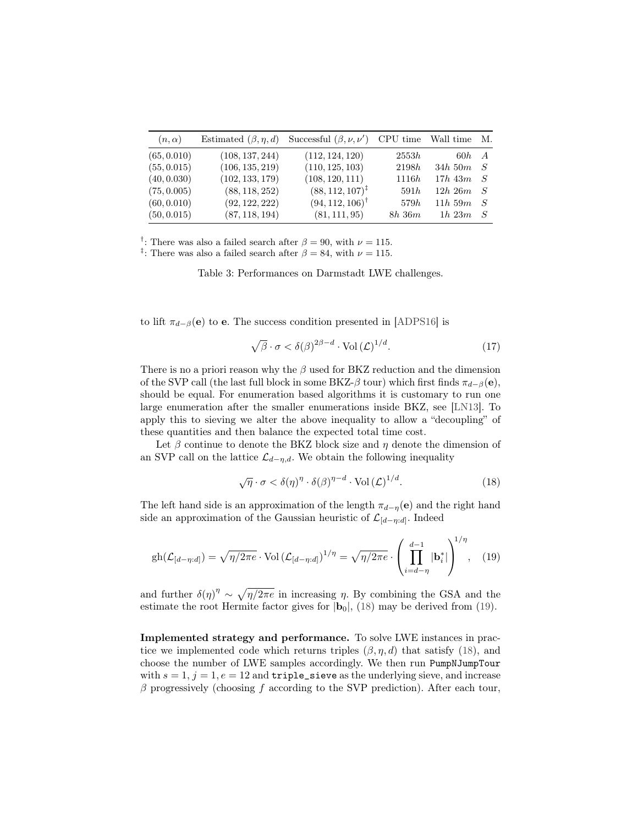<span id="page-26-0"></span>

| $(n,\alpha)$ | Estimated $(\beta, \eta, d)$ | Successful $(\beta, \nu, \nu')$ CPU time Wall time M. |           |                   |     |
|--------------|------------------------------|-------------------------------------------------------|-----------|-------------------|-----|
| (65, 0.010)  | (108, 137, 244)              | (112, 124, 120)                                       | 2553h     | $60h$ A           |     |
| (55, 0.015)  | (106, 135, 219)              | (110, 125, 103)                                       | 2198h     | $34h$ 50 $m$ $S$  |     |
| (40, 0.030)  | (102, 133, 179)              | (108, 120, 111)                                       | 1116h     | $17h\ 43m\quad S$ |     |
| (75, 0.005)  | (88, 118, 252)               | $(88, 112, 107)^{\ddagger}$                           | 591h      | 12h 26m S         |     |
| (60, 0.010)  | (92, 122, 222)               | $(94, 112, 106)$ <sup>†</sup>                         | 579h      | 11h~59m           | - S |
| (50, 0.015)  | (87, 118, 194)               | (81, 111, 95)                                         | $8h\,36m$ | $1h\ 23m$         | - S |

<sup>†</sup>: There was also a failed search after  $\beta = 90$ , with  $\nu = 115$ .

<sup>‡</sup>: There was also a failed search after  $\beta = 84$ , with  $\nu = 115$ .

Table 3: Performances on Darmstadt LWE challenges.

to lift  $\pi_{d-\beta}(\mathbf{e})$  to e. The success condition presented in [\[ADPS16\]](#page-27-0) is

$$
\sqrt{\beta} \cdot \sigma < \delta(\beta)^{2\beta - d} \cdot \text{Vol}\left(\mathcal{L}\right)^{1/d}.\tag{17}
$$

There is no a priori reason why the  $\beta$  used for BKZ reduction and the dimension of the SVP call (the last full block in some BKZ- $\beta$  tour) which first finds  $\pi_{d-\beta}(e)$ , should be equal. For enumeration based algorithms it is customary to run one large enumeration after the smaller enumerations inside BKZ, see [\[LN13\]](#page-29-7). To apply this to sieving we alter the above inequality to allow a "decoupling" of these quantities and then balance the expected total time cost.

Let  $\beta$  continue to denote the BKZ block size and  $\eta$  denote the dimension of an SVP call on the lattice  $\mathcal{L}_{d-\eta,d}$ . We obtain the following inequality

<span id="page-26-2"></span><span id="page-26-1"></span>
$$
\sqrt{\eta} \cdot \sigma < \delta(\eta)^{\eta} \cdot \delta(\beta)^{\eta - d} \cdot \text{Vol}\left(\mathcal{L}\right)^{1/d}.\tag{18}
$$

The left hand side is an approximation of the length  $\pi_{d-n}(e)$  and the right hand side an approximation of the Gaussian heuristic of  $\mathcal{L}_{[d-\eta:d]}$ . Indeed

$$
\text{gh}(\mathcal{L}_{[d-\eta:d]}) = \sqrt{\eta/2\pi e} \cdot \text{Vol}\left(\mathcal{L}_{[d-\eta:d]}\right)^{1/\eta} = \sqrt{\eta/2\pi e} \cdot \left(\prod_{i=d-\eta}^{d-1} |\mathbf{b}_i^*|\right)^{1/\eta},\tag{19}
$$

and further  $\delta(\eta)^{\eta} \sim \sqrt{\eta/2\pi e}$  in increasing  $\eta$ . By combining the GSA and the estimate the root Hermite factor gives for  $|\mathbf{b}_0|$ , [\(18\)](#page-26-1) may be derived from [\(19\)](#page-26-2).

Implemented strategy and performance. To solve LWE instances in practice we implemented code which returns triples  $(\beta, \eta, d)$  that satisfy [\(18\)](#page-26-1), and choose the number of LWE samples accordingly. We then run PumpNJumpTour with  $s = 1$ ,  $j = 1$ ,  $e = 12$  and **triple\_sieve** as the underlying sieve, and increase  $\beta$  progressively (choosing f according to the SVP prediction). After each tour,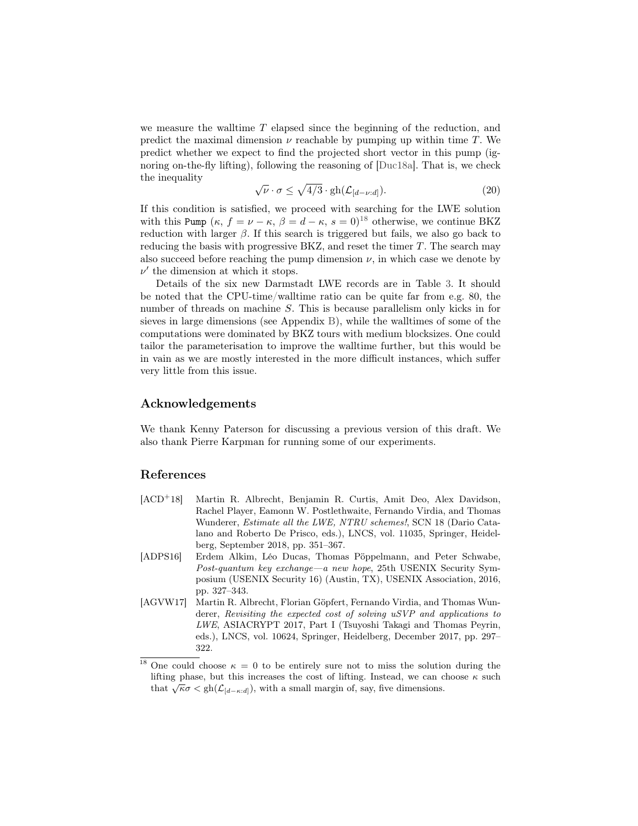we measure the walltime  $T$  elapsed since the beginning of the reduction, and predict the maximal dimension  $\nu$  reachable by pumping up within time T. We predict whether we expect to find the projected short vector in this pump (ignoring on-the-fly lifting), following the reasoning of [\[Duc18a\]](#page-28-7). That is, we check the inequality √

$$
\sqrt{\nu} \cdot \sigma \le \sqrt{4/3} \cdot \text{gh}(\mathcal{L}_{[d-\nu:d]}). \tag{20}
$$

If this condition is satisfied, we proceed with searching for the LWE solution with this Pump  $(\kappa, f = \nu - \kappa, \beta = d - \kappa, s = 0)^{18}$  $(\kappa, f = \nu - \kappa, \beta = d - \kappa, s = 0)^{18}$  $(\kappa, f = \nu - \kappa, \beta = d - \kappa, s = 0)^{18}$  otherwise, we continue BKZ reduction with larger  $\beta$ . If this search is triggered but fails, we also go back to reducing the basis with progressive BKZ, and reset the timer  $T$ . The search may also succeed before reaching the pump dimension  $\nu$ , in which case we denote by  $\nu'$  the dimension at which it stops.

Details of the six new Darmstadt LWE records are in Table [3.](#page-26-0) It should be noted that the CPU-time/walltime ratio can be quite far from e.g. 80, the number of threads on machine S. This is because parallelism only kicks in for sieves in large dimensions (see Appendix [B\)](#page-32-0), while the walltimes of some of the computations were dominated by BKZ tours with medium blocksizes. One could tailor the parameterisation to improve the walltime further, but this would be in vain as we are mostly interested in the more difficult instances, which suffer very little from this issue.

# Acknowledgements

We thank Kenny Paterson for discussing a previous version of this draft. We also thank Pierre Karpman for running some of our experiments.

# References

- <span id="page-27-2"></span>[ACD<sup>+</sup>18] Martin R. Albrecht, Benjamin R. Curtis, Amit Deo, Alex Davidson, Rachel Player, Eamonn W. Postlethwaite, Fernando Virdia, and Thomas Wunderer, Estimate all the LWE, NTRU schemes!, SCN 18 (Dario Catalano and Roberto De Prisco, eds.), LNCS, vol. 11035, Springer, Heidelberg, September 2018, pp. 351–367.
- <span id="page-27-0"></span>[ADPS16] Erdem Alkim, Léo Ducas, Thomas Pöppelmann, and Peter Schwabe, Post-quantum key exchange—a new hope, 25th USENIX Security Symposium (USENIX Security 16) (Austin, TX), USENIX Association, 2016, pp. 327–343.
- <span id="page-27-1"></span>[AGVW17] Martin R. Albrecht, Florian Göpfert, Fernando Virdia, and Thomas Wunderer, Revisiting the expected cost of solving uSVP and applications to LWE, ASIACRYPT 2017, Part I (Tsuyoshi Takagi and Thomas Peyrin, eds.), LNCS, vol. 10624, Springer, Heidelberg, December 2017, pp. 297– 322.

<span id="page-27-3"></span><sup>&</sup>lt;sup>18</sup> One could choose  $\kappa = 0$  to be entirely sure not to miss the solution during the lifting phase, but this increases the cost of lifting. Instead, we can choose  $\kappa$  such that  $\sqrt{\kappa}\sigma < \text{gh}(\mathcal{L}_{[d-\kappa:d]})$ , with a small margin of, say, five dimensions.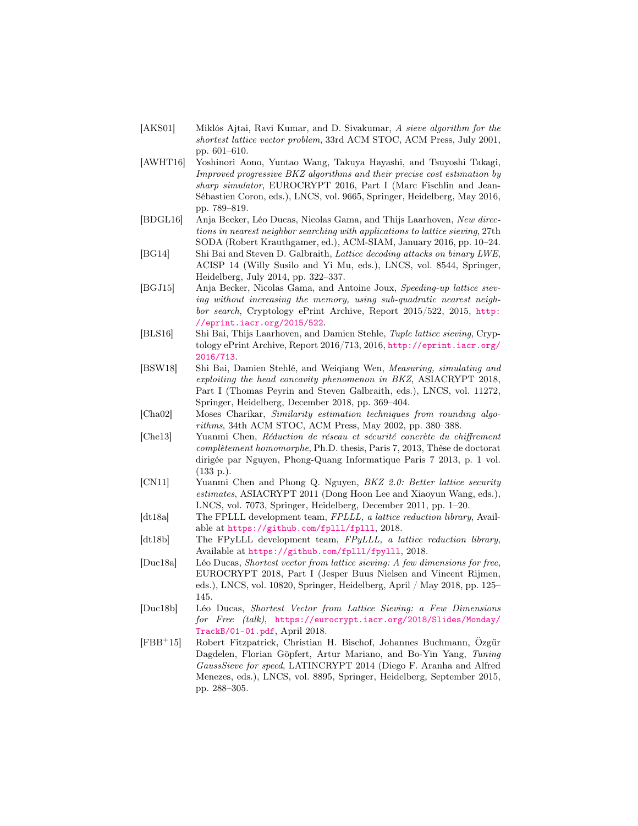- <span id="page-28-0"></span>[AKS01] Miklós Ajtai, Ravi Kumar, and D. Sivakumar, A sieve algorithm for the shortest lattice vector problem, 33rd ACM STOC, ACM Press, July 2001, pp. 601–610.
- <span id="page-28-4"></span>[AWHT16] Yoshinori Aono, Yuntao Wang, Takuya Hayashi, and Tsuyoshi Takagi, Improved progressive BKZ algorithms and their precise cost estimation by sharp simulator, EUROCRYPT 2016, Part I (Marc Fischlin and Jean-Sébastien Coron, eds.), LNCS, vol. 9665, Springer, Heidelberg, May 2016, pp. 789–819.
- <span id="page-28-2"></span>[BDGL16] Anja Becker, Léo Ducas, Nicolas Gama, and Thijs Laarhoven, New directions in nearest neighbor searching with applications to lattice sieving, 27th SODA (Robert Krauthgamer, ed.), ACM-SIAM, January 2016, pp. 10–24.
- <span id="page-28-14"></span>[BG14] Shi Bai and Steven D. Galbraith, Lattice decoding attacks on binary LWE, ACISP 14 (Willy Susilo and Yi Mu, eds.), LNCS, vol. 8544, Springer, Heidelberg, July 2014, pp. 322–337.
- <span id="page-28-1"></span>[BGJ15] Anja Becker, Nicolas Gama, and Antoine Joux, Speeding-up lattice sieving without increasing the memory, using sub-quadratic nearest neighbor search, Cryptology ePrint Archive, Report 2015/522, 2015, [http:](http://eprint.iacr.org/2015/522) [//eprint.iacr.org/2015/522](http://eprint.iacr.org/2015/522).
- <span id="page-28-12"></span>[BLS16] Shi Bai, Thijs Laarhoven, and Damien Stehle, Tuple lattice sieving, Cryptology ePrint Archive, Report 2016/713, 2016, [http://eprint.iacr.org/](http://eprint.iacr.org/2016/713) [2016/713](http://eprint.iacr.org/2016/713).
- <span id="page-28-13"></span>[BSW18] Shi Bai, Damien Stehlé, and Weiqiang Wen, Measuring, simulating and exploiting the head concavity phenomenon in BKZ, ASIACRYPT 2018, Part I (Thomas Peyrin and Steven Galbraith, eds.), LNCS, vol. 11272, Springer, Heidelberg, December 2018, pp. 369–404.
- <span id="page-28-8"></span>[Cha02] Moses Charikar, Similarity estimation techniques from rounding algorithms, 34th ACM STOC, ACM Press, May 2002, pp. 380–388.
- <span id="page-28-11"></span>[Che13] Yuanmi Chen, Réduction de réseau et sécurité concrète du chiffrement complètement homomorphe, Ph.D. thesis, Paris 7, 2013, Thèse de doctorat dirigée par Nguyen, Phong-Quang Informatique Paris 7 2013, p. 1 vol. (133 p.).
- <span id="page-28-6"></span>[CN11] Yuanmi Chen and Phong Q. Nguyen, BKZ 2.0: Better lattice security estimates, ASIACRYPT 2011 (Dong Hoon Lee and Xiaoyun Wang, eds.), LNCS, vol. 7073, Springer, Heidelberg, December 2011, pp. 1–20.
- <span id="page-28-3"></span>[dt18a] The FPLLL development team, FPLLL, a lattice reduction library, Available at <https://github.com/fplll/fplll>, 2018.
- <span id="page-28-5"></span>[dt18b] The FPyLLL development team, FPyLLL, a lattice reduction library, Available at <https://github.com/fplll/fpylll>, 2018.
- <span id="page-28-7"></span>[Duc18a] Léo Ducas, Shortest vector from lattice sieving: A few dimensions for free, EUROCRYPT 2018, Part I (Jesper Buus Nielsen and Vincent Rijmen, eds.), LNCS, vol. 10820, Springer, Heidelberg, April / May 2018, pp. 125– 145.
- <span id="page-28-10"></span>[Duc18b] Léo Ducas, Shortest Vector from Lattice Sieving: a Few Dimensions for Free (talk), [https://eurocrypt.iacr.org/2018/Slides/Monday/](https://eurocrypt.iacr.org/2018/Slides/Monday/TrackB/01-01.pdf) [TrackB/01-01.pdf](https://eurocrypt.iacr.org/2018/Slides/Monday/TrackB/01-01.pdf), April 2018.
- <span id="page-28-9"></span>[FBB<sup>+</sup>15] Robert Fitzpatrick, Christian H. Bischof, Johannes Buchmann, Özgür Dagdelen, Florian Göpfert, Artur Mariano, and Bo-Yin Yang, Tuning GaussSieve for speed, LATINCRYPT 2014 (Diego F. Aranha and Alfred Menezes, eds.), LNCS, vol. 8895, Springer, Heidelberg, September 2015, pp. 288–305.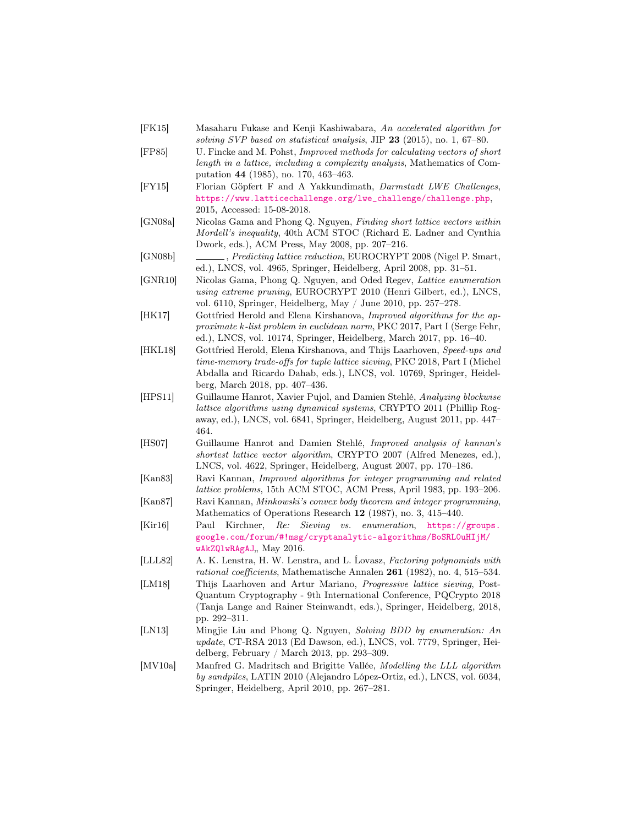- <span id="page-29-6"></span>[FK15] Masaharu Fukase and Kenji Kashiwabara, An accelerated algorithm for solving SVP based on statistical analysis, JIP  $23$  (2015), no. 1, 67–80.
- <span id="page-29-3"></span>[FP85] U. Fincke and M. Pohst, Improved methods for calculating vectors of short length in a lattice, including a complexity analysis, Mathematics of Computation 44 (1985), no. 170, 463–463.
- <span id="page-29-4"></span>[FY15] Florian Göpfert F and A Yakkundimath, Darmstadt LWE Challenges, [https://www.latticechallenge.org/lwe\\_challenge/challenge.php](https://www.latticechallenge.org/lwe_challenge/challenge.php), 2015, Accessed: 15-08-2018.
- <span id="page-29-12"></span>[GN08a] Nicolas Gama and Phong Q. Nguyen, Finding short lattice vectors within Mordell's inequality, 40th ACM STOC (Richard E. Ladner and Cynthia Dwork, eds.), ACM Press, May 2008, pp. 207–216.
- <span id="page-29-11"></span>[GN08b] , Predicting lattice reduction, EUROCRYPT 2008 (Nigel P. Smart, ed.), LNCS, vol. 4965, Springer, Heidelberg, April 2008, pp. 31–51.
- <span id="page-29-5"></span>[GNR10] Nicolas Gama, Phong Q. Nguyen, and Oded Regev, Lattice enumeration using extreme pruning, EUROCRYPT 2010 (Henri Gilbert, ed.), LNCS, vol. 6110, Springer, Heidelberg, May / June 2010, pp. 257–278.
- <span id="page-29-0"></span>[HK17] Gottfried Herold and Elena Kirshanova, Improved algorithms for the approximate k-list problem in euclidean norm, PKC 2017, Part I (Serge Fehr, ed.), LNCS, vol. 10174, Springer, Heidelberg, March 2017, pp. 16–40.
- <span id="page-29-15"></span>[HKL18] Gottfried Herold, Elena Kirshanova, and Thijs Laarhoven, Speed-ups and time-memory trade-offs for tuple lattice sieving, PKC 2018, Part I (Michel Abdalla and Ricardo Dahab, eds.), LNCS, vol. 10769, Springer, Heidelberg, March 2018, pp. 407–436.
- <span id="page-29-14"></span>[HPS11] Guillaume Hanrot, Xavier Pujol, and Damien Stehlé, Analyzing blockwise lattice algorithms using dynamical systems, CRYPTO 2011 (Phillip Rogaway, ed.), LNCS, vol. 6841, Springer, Heidelberg, August 2011, pp. 447– 464.
- <span id="page-29-2"></span>[HS07] Guillaume Hanrot and Damien Stehlé, Improved analysis of kannan's shortest lattice vector algorithm, CRYPTO 2007 (Alfred Menezes, ed.), LNCS, vol. 4622, Springer, Heidelberg, August 2007, pp. 170–186.
- <span id="page-29-1"></span>[Kan83] Ravi Kannan, Improved algorithms for integer programming and related lattice problems, 15th ACM STOC, ACM Press, April 1983, pp. 193–206. [Kan87] Ravi Kannan, Minkowski's convex body theorem and integer programming,
- <span id="page-29-16"></span>Mathematics of Operations Research 12 (1987), no. 3, 415–440.
- <span id="page-29-9"></span>[Kir16] Paul Kirchner, Re: Sieving vs. enumeration, [https://groups.](https://groups.google.com/forum/#!msg/cryptanalytic-algorithms/BoSRL0uHIjM/wAkZQlwRAgAJ) [google.com/forum/#!msg/cryptanalytic-algorithms/BoSRL0uHIjM/](https://groups.google.com/forum/#!msg/cryptanalytic-algorithms/BoSRL0uHIjM/wAkZQlwRAgAJ) [wAkZQlwRAgAJ](https://groups.google.com/forum/#!msg/cryptanalytic-algorithms/BoSRL0uHIjM/wAkZQlwRAgAJ), May 2016.
- <span id="page-29-10"></span>[LLL82] A. K. Lenstra, H. W. Lenstra, and L. Ĺovasz, Factoring polynomials with rational coefficients, Mathematische Annalen 261 (1982), no. 4, 515–534.
- <span id="page-29-8"></span>[LM18] Thijs Laarhoven and Artur Mariano, Progressive lattice sieving, Post-Quantum Cryptography - 9th International Conference, PQCrypto 2018 (Tanja Lange and Rainer Steinwandt, eds.), Springer, Heidelberg, 2018, pp. 292–311.
- <span id="page-29-7"></span>[LN13] Mingjie Liu and Phong Q. Nguyen, Solving BDD by enumeration: An update, CT-RSA 2013 (Ed Dawson, ed.), LNCS, vol. 7779, Springer, Heidelberg, February / March 2013, pp. 293–309.
- <span id="page-29-13"></span>[MV10a] Manfred G. Madritsch and Brigitte Vallée, Modelling the LLL algorithm by sandpiles, LATIN 2010 (Alejandro López-Ortiz, ed.), LNCS, vol. 6034, Springer, Heidelberg, April 2010, pp. 267–281.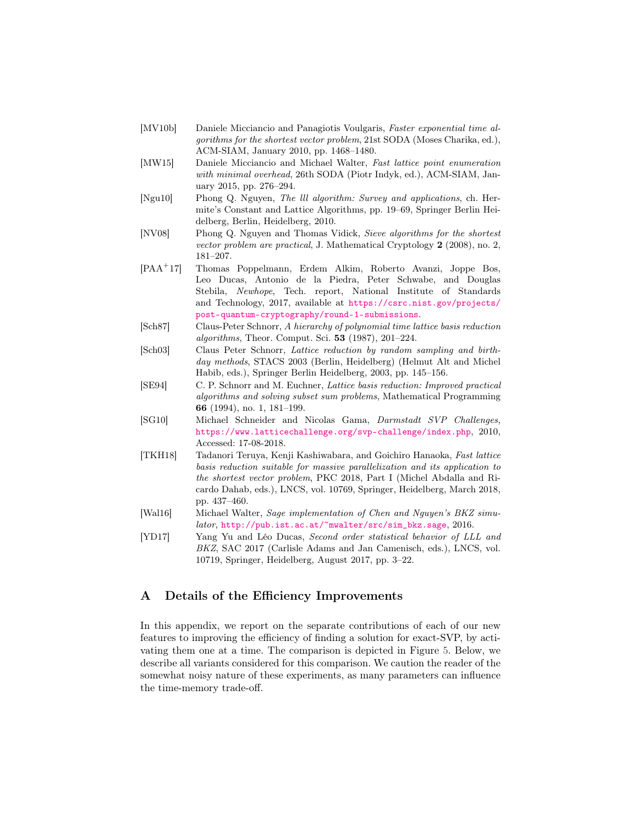- <span id="page-30-0"></span>[MV10b] Daniele Micciancio and Panagiotis Voulgaris, Faster exponential time algorithms for the shortest vector problem, 21st SODA (Moses Charika, ed.), ACM-SIAM, January 2010, pp. 1468–1480.
- <span id="page-30-2"></span>[MW15] Daniele Micciancio and Michael Walter, Fast lattice point enumeration with minimal overhead, 26th SODA (Piotr Indyk, ed.), ACM-SIAM, January 2015, pp. 276–294.
- <span id="page-30-10"></span>[Ngu10] Phong Q. Nguyen, The lll algorithm: Survey and applications, ch. Hermite's Constant and Lattice Algorithms, pp. 19–69, Springer Berlin Heidelberg, Berlin, Heidelberg, 2010.
- <span id="page-30-8"></span>[NV08] Phong Q. Nguyen and Thomas Vidick, Sieve algorithms for the shortest vector problem are practical, J. Mathematical Cryptology 2 (2008), no. 2, 181–207.
- <span id="page-30-7"></span>[PAA<sup>+</sup>17] Thomas Poppelmann, Erdem Alkim, Roberto Avanzi, Joppe Bos, Leo Ducas, Antonio de la Piedra, Peter Schwabe, and Douglas Stebila, Newhope, Tech. report, National Institute of Standards and Technology, 2017, available at [https://csrc.nist.gov/projects/](https://csrc.nist.gov/projects/post-quantum-cryptography/round-1-submissions) [post-quantum-cryptography/round-1-submissions](https://csrc.nist.gov/projects/post-quantum-cryptography/round-1-submissions).
- <span id="page-30-3"></span>[Sch87] Claus-Peter Schnorr, A hierarchy of polynomial time lattice basis reduction algorithms, Theor. Comput. Sci. 53 (1987), 201–224.
- <span id="page-30-9"></span>[Sch03] Claus Peter Schnorr, Lattice reduction by random sampling and birthday methods, STACS 2003 (Berlin, Heidelberg) (Helmut Alt and Michel Habib, eds.), Springer Berlin Heidelberg, 2003, pp. 145–156.
- <span id="page-30-5"></span>[SE94] C. P. Schnorr and M. Euchner, Lattice basis reduction: Improved practical algorithms and solving subset sum problems, Mathematical Programming 66 (1994), no. 1, 181–199.
- <span id="page-30-1"></span>[SG10] Michael Schneider and Nicolas Gama, Darmstadt SVP Challenges, <https://www.latticechallenge.org/svp-challenge/index.php>, 2010, Accessed: 17-08-2018.
- <span id="page-30-4"></span>[TKH18] Tadanori Teruya, Kenji Kashiwabara, and Goichiro Hanaoka, Fast lattice basis reduction suitable for massive parallelization and its application to the shortest vector problem, PKC 2018, Part I (Michel Abdalla and Ricardo Dahab, eds.), LNCS, vol. 10769, Springer, Heidelberg, March 2018, pp. 437–460.
- <span id="page-30-12"></span>[Wal16] Michael Walter, Sage implementation of Chen and Nguyen's BKZ simulator, [http://pub.ist.ac.at/~mwalter/src/sim\\_bkz.sage](http://pub.ist.ac.at/~mwalter/src/sim_bkz.sage), 2016.
- <span id="page-30-11"></span>[YD17] Yang Yu and Léo Ducas, Second order statistical behavior of LLL and BKZ, SAC 2017 (Carlisle Adams and Jan Camenisch, eds.), LNCS, vol. 10719, Springer, Heidelberg, August 2017, pp. 3–22.

# <span id="page-30-6"></span>A Details of the Efficiency Improvements

In this appendix, we report on the separate contributions of each of our new features to improving the efficiency of finding a solution for exact-SVP, by activating them one at a time. The comparison is depicted in Figure [5.](#page-31-0) Below, we describe all variants considered for this comparison. We caution the reader of the somewhat noisy nature of these experiments, as many parameters can influence the time-memory trade-off.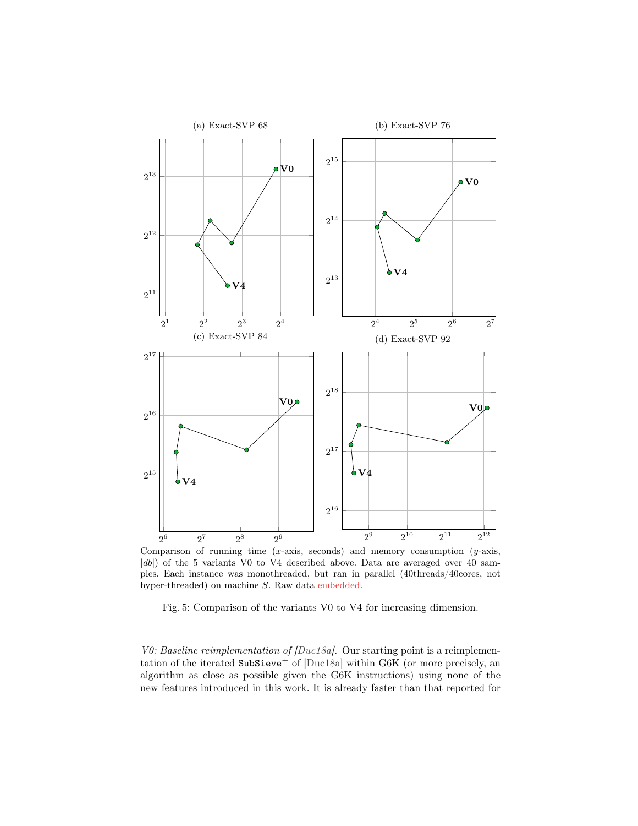<span id="page-31-0"></span>

Comparison of running time  $(x\text{-axis}, \text{ seconds})$  and memory consumption  $(y\text{-axis}, \text{ seconds})$ |db|) of the 5 variants V0 to V4 described above. Data are averaged over 40 samples. Each instance was monothreaded, but ran in parallel (40threads/40cores, not hyper-threaded) on machine  $S$ . Raw data embedded.

Fig. 5: Comparison of the variants V0 to V4 for increasing dimension.

V0: Baseline reimplementation of [\[Duc18a\]](#page-28-7). Our starting point is a reimplemen-tation of the iterated SubSieve<sup>+</sup> of [\[Duc18a\]](#page-28-7) within G6K (or more precisely, an algorithm as close as possible given the G6K instructions) using none of the new features introduced in this work. It is already faster than that reported for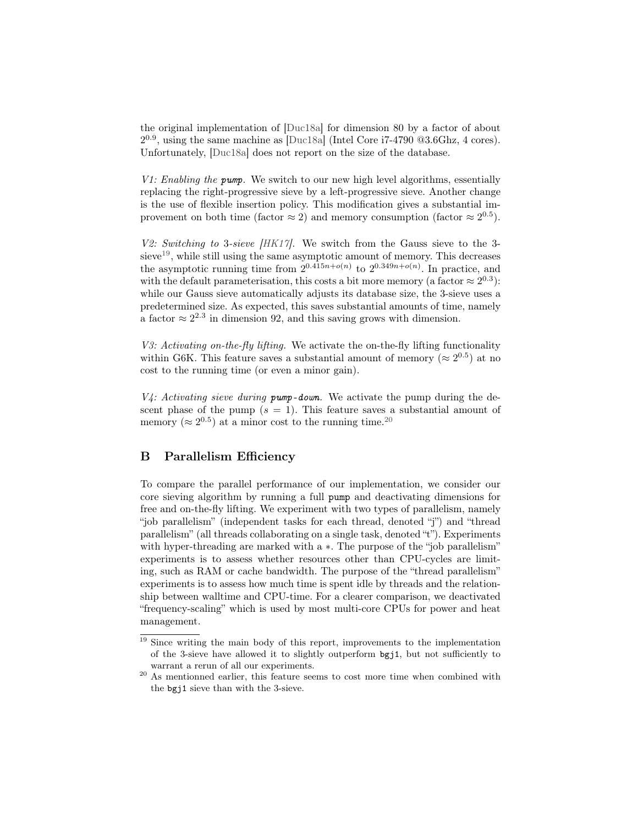the original implementation of [\[Duc18a\]](#page-28-7) for dimension 80 by a factor of about  $2^{0.9}$ , using the same machine as [\[Duc18a\]](#page-28-7) (Intel Core i7-4790  $@3.6\text{Ghz}, 4 \text{ cores}$ ). Unfortunately, [\[Duc18a\]](#page-28-7) does not report on the size of the database.

V1: Enabling the pump. We switch to our new high level algorithms, essentially replacing the right-progressive sieve by a left-progressive sieve. Another change is the use of flexible insertion policy. This modification gives a substantial improvement on both time (factor  $\approx 2$ ) and memory consumption (factor  $\approx 2^{0.5}$ ).

V2: Switching to 3-sieve [\[HK17\]](#page-29-0). We switch from the Gauss sieve to the 3- sieve<sup>[19](#page-32-1)</sup>, while still using the same asymptotic amount of memory. This decreases the asymptotic running time from  $2^{0.415n+o(n)}$  to  $2^{0.349n+o(n)}$ . In practice, and with the default parameterisation, this costs a bit more memory (a factor  $\approx 2^{0.3}$ ): while our Gauss sieve automatically adjusts its database size, the 3-sieve uses a predetermined size. As expected, this saves substantial amounts of time, namely a factor  $\approx 2^{2.3}$  in dimension 92, and this saving grows with dimension.

V3: Activating on-the-fly lifting. We activate the on-the-fly lifting functionality within G6K. This feature saves a substantial amount of memory ( $\approx 2^{0.5}$ ) at no cost to the running time (or even a minor gain).

 $V4$ : Activating sieve during pump-down. We activate the pump during the descent phase of the pump  $(s = 1)$ . This feature saves a substantial amount of memory ( $\approx 2^{0.5}$ ) at a minor cost to the running time.<sup>[20](#page-32-2)</sup>

# <span id="page-32-0"></span>B Parallelism Efficiency

To compare the parallel performance of our implementation, we consider our core sieving algorithm by running a full pump and deactivating dimensions for free and on-the-fly lifting. We experiment with two types of parallelism, namely "job parallelism" (independent tasks for each thread, denoted "j") and "thread parallelism" (all threads collaborating on a single task, denoted "t"). Experiments with hyper-threading are marked with  $a *$ . The purpose of the "job parallelism" experiments is to assess whether resources other than CPU-cycles are limiting, such as RAM or cache bandwidth. The purpose of the "thread parallelism" experiments is to assess how much time is spent idle by threads and the relationship between walltime and CPU-time. For a clearer comparison, we deactivated "frequency-scaling" which is used by most multi-core CPUs for power and heat management.

<span id="page-32-1"></span> $19$  Since writing the main body of this report, improvements to the implementation of the 3-sieve have allowed it to slightly outperform bgj1, but not sufficiently to warrant a rerun of all our experiments.

<span id="page-32-2"></span><sup>&</sup>lt;sup>20</sup> As mentionned earlier, this feature seems to cost more time when combined with the bgj1 sieve than with the 3-sieve.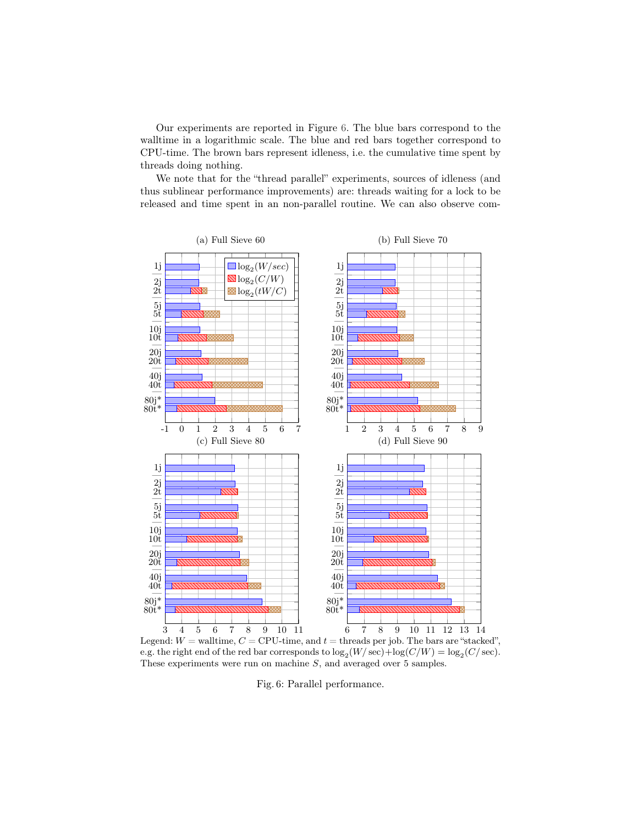Our experiments are reported in Figure [6.](#page-33-0) The blue bars correspond to the walltime in a logarithmic scale. The blue and red bars together correspond to CPU-time. The brown bars represent idleness, i.e. the cumulative time spent by threads doing nothing.

We note that for the "thread parallel" experiments, sources of idleness (and thus sublinear performance improvements) are: threads waiting for a lock to be released and time spent in an non-parallel routine. We can also observe com-

<span id="page-33-0"></span>

Legend:  $W =$  walltime,  $C =$  CPU-time, and  $t =$  threads per job. The bars are "stacked", e.g. the right end of the red bar corresponds to  $\log_2(W/\sec) + \log(C/W) = \log_2(C/\sec)$ . These experiments were run on machine S, and averaged over 5 samples.

Fig. 6: Parallel performance.